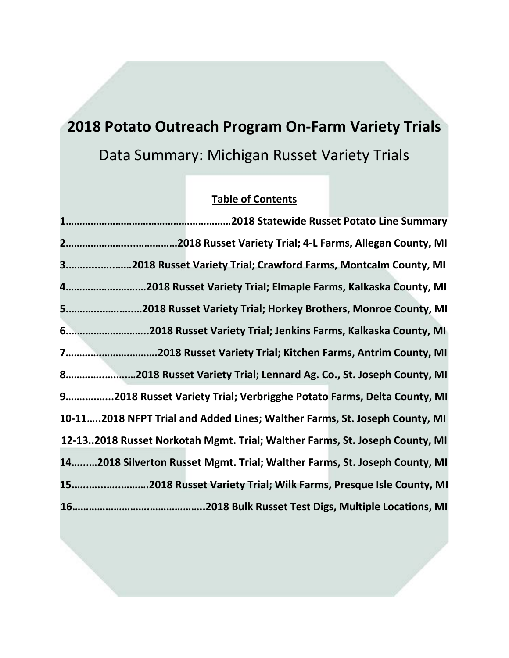# **2018 Potato Outreach Program On-Farm Variety Trials** Data Summary: Michigan Russet Variety Trials

### **Table of Contents**

**1……………………………………………………2018 Statewide Russet Potato Line Summary 2…………………....……………2018 Russet Variety Trial; 4-L Farms, Allegan County, MI 3.…….....…..……2018 Russet Variety Trial; Crawford Farms, Montcalm County, MI 4……………….…….…2018 Russet Variety Trial; Elmaple Farms, Kalkaska County, MI 5.………..…….…..…2018 Russet Variety Trial; Horkey Brothers, Monroe County, MI 6.………………………..2018 Russet Variety Trial; Jenkins Farms, Kalkaska County, MI 7………….……….……….2018 Russet Variety Trial; Kitchen Farms, Antrim County, MI 8…………..….….…2018 Russet Variety Trial; Lennard Ag. Co., St. Joseph County, MI 9…….….…...2018 Russet Variety Trial; Verbrigghe Potato Farms, Delta County, MI 10-11…..2018 NFPT Trial and Added Lines; Walther Farms, St. Joseph County, MI 12-13..2018 Russet Norkotah Mgmt. Trial; Walther Farms, St. Joseph County, MI 14…...…2018 Silverton Russet Mgmt. Trial; Walther Farms, St. Joseph County, MI 15.…..…...…..……….2018 Russet Variety Trial; Wilk Farms, Presque Isle County, MI 16……………………….………………..2018 Bulk Russet Test Digs, Multiple Locations, MI**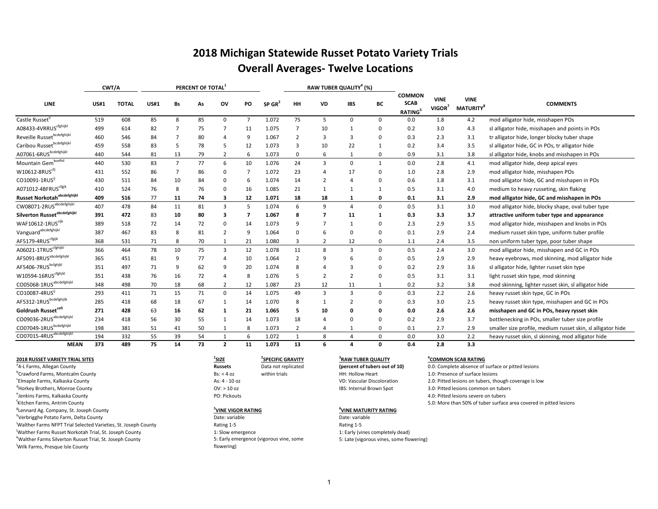## **2018 Michigan Statewide Russet Potato Variety Trials Overall Averages- Twelve Locations**

|                                          | CWT/A       |              |             |                | PERCENT OF TOTAL <sup>3</sup> |                |    |                      |                |                | RAW TUBER QUALITY <sup>4</sup> (%) |             |                                               |                                   |                                             |                                                             |
|------------------------------------------|-------------|--------------|-------------|----------------|-------------------------------|----------------|----|----------------------|----------------|----------------|------------------------------------|-------------|-----------------------------------------------|-----------------------------------|---------------------------------------------|-------------------------------------------------------------|
| LINE                                     | <b>US#1</b> | <b>TOTAL</b> | <b>US#1</b> | Bs             | As                            | ov             | PO | $SP$ GR <sup>2</sup> | HH             | VD             | <b>IBS</b>                         | BС          | <b>COMMON</b><br><b>SCAB</b><br><b>RATING</b> | <b>VINE</b><br>VIGOR <sup>3</sup> | <b>VINE</b><br><b>MATURITY</b> <sup>8</sup> | <b>COMMENTS</b>                                             |
| Castle Russet <sup>"</sup>               | 519         | 608          | 85          | 8              | 85                            | 0              | 7  | 1.072                | 75             | 5              | 0                                  | 0           | 0.0                                           | 1.8                               | 4.2                                         | mod alligator hide, misshapen POs                           |
| A08433-4VRRUS <sup>cfghijkl</sup>        | 499         | 614          | 82          |                | 75                            | 7              | 11 | 1.075                |                | 10             | 1                                  | 0           | 0.2                                           | 3.0                               | 4.3                                         | sl alligator hide, misshapen and points in POs              |
| Reveille Russetbcdefghijkl               | 460         | 546          | 84          |                | 80                            | 4              | 9  | 1.067                | 2              | 3              | 3                                  | 0           | 0.3                                           | 2.3                               | 3.1                                         | tr alligator hide, longer blocky tuber shape                |
| Caribou Russetbcdefghijkl                | 459         | 558          | 83          | 5              | 78                            | 5              | 12 | 1.073                | 3              | 10             | 22                                 | 1           | 0.2                                           | 3.4                               | 3.5                                         | sl alligator hide, GC in POs, tr alligator hide             |
| A07061-6RUSbcdefghijkl                   | 440         | 544          | 81          | 13             | 79                            | $\overline{2}$ | 6  | 1.073                | 0              | 6              | 1                                  | 0           | 0.9                                           | 3.1                               | 3.8                                         | sl alligator hide, knobs and misshapen in POs               |
| Mountain Gem <sup>bcefhil</sup>          | 440         | 530          | 83          | $\overline{7}$ | 77                            | 6              | 10 | 1.076                | 24             | 3              | 0                                  | 1           | 0.0                                           | 2.8                               | 4.1                                         | mod alligator hide, deep apical eyes                        |
| W10612-8RUS <sup>cfj</sup>               | 431         | 552          | 86          |                | 86                            | 0              | 7  | 1.072                | 23             |                | 17                                 | 0           | 1.0                                           | 2.8                               | 2.9                                         | mod alligator hide, misshapen POs                           |
| CO10091-1RUS                             | 430         | 511          | 84          | 10             | 84                            | 0              | 6  | 1.074                | 14             | $\overline{2}$ | 4                                  | $\Omega$    | 0.6                                           | 1.8                               | 3.1                                         | mod alligator hide, GC and misshapen in POs                 |
| A071012-4BFRUS <sup>cfgjk</sup>          | 410         | 524          | 76          | 8              | 76                            | 0              | 16 | 1.085                | 21             | 1              | $\mathbf{1}$                       |             | 0.5                                           | 3.1                               | 4.0                                         | medium to heavy russeting, skin flaking                     |
| Russet Norkotah <sup>abcdefghijkl</sup>  | 409         | 516          | 77          | 11             | 74                            | 3              | 12 | 1.071                | 18             | 18             | $\mathbf{1}$                       | 0           | 0.1                                           | 3.1                               | 2.9                                         | mod alligator hide, GC and misshapen in POs                 |
| CW08071-2RUS <sup>abcdefghijkl</sup>     | 407         | 478          | 84          | 11             | 81                            | $\overline{3}$ | 5  | 1.074                | 6              | 9              | 4                                  | 0           | 0.5                                           | 3.1                               | 3.0                                         | mod alligator hide, blocky shape, oval tuber type           |
| Silverton Russet <sup>abcdefghijkl</sup> | 391         | 472          | 83          | 10             | 80                            | 3              | 7  | 1.067                | 8              | -7             | 11                                 | 1           | 0.3                                           | 3.3                               | 3.7                                         | attractive uniform tuber type and appearance                |
| WAF10612-1RUS <sup>cijk</sup>            | 389         | 518          | 72          | 14             | 72                            | 0              | 14 | 1.073                | 9              | 7              | 1                                  | 0           | 2.3                                           | 2.9                               | 3.5                                         | mod alligator hide, misshapen and knobs in POs              |
| Vanguard <sup>abcdefghijkl</sup>         | 387         | 467          | 83          | 8              | 81                            | $\overline{2}$ | 9  | 1.064                | 0              | 6              | 0                                  | 0           | 0.1                                           | 2.9                               | 2.4                                         | medium russet skin type, uniform tuber profile              |
| AF5179-4RUS <sup>cfgijk</sup>            | 368         | 531          | 71          | 8              | 70                            | 1              | 21 | 1.080                | 3              | $\overline{2}$ | 12                                 | 0           | 1.1                                           | 2.4                               | 3.5                                         | non uniform tuber type, poor tuber shape                    |
| A06021-1TRUS <sup>cfghijkl</sup>         | 366         | 464          | 78          | 10             | 75                            | $\overline{3}$ | 12 | 1.078                | 11             | 8              | 3                                  | $\Omega$    | 0.5                                           | 2.4                               | 3.0                                         | mod alligator hide, misshapen and GC in POs                 |
| AF5091-8RUS <sup>abcdefghijkl</sup>      | 365         | 451          | 81          | 9              | 77                            | 4              | 10 | 1.064                | $\overline{2}$ | q              | 6                                  | 0           | 0.5                                           | 2.9                               | 2.9                                         | heavy eyebrows, mod skinning, mod alligator hide            |
| AF5406-7RUSbcfghjkl                      | 351         | 497          | 71          | 9              | 62                            | 9              | 20 | 1.074                | 8              |                | 3                                  | 0           | 0.2                                           | 2.9                               | 3.6                                         | sl alligator hide, lighter russet skin type                 |
| $W10594-16RUS^{cfghjkl}$                 | 351         | 438          | 76          | 16             | 72                            | $\overline{4}$ | 8  | 1.076                | 5              | $\overline{2}$ | $\overline{2}$                     | $\Omega$    | 0.5                                           | 3.1                               | 3.1                                         | light russet skin type, mod skinning                        |
| CO05068-1RUS <sup>abcdefghijkl</sup>     | 348         | 498          | 70          | 18             | 68                            | $\overline{2}$ | 12 | 1.087                | 23             | 12             | 11                                 | 1           | 0.2                                           | 3.2                               | 3.8                                         | mod skinning, lighter russet skin, sl alligator hide        |
| CO10087-4RUS                             | 293         | 411          | 71          | 15             | 71                            | $\mathbf 0$    | 14 | 1.075                | 49             | $\mathbf{3}$   | 3                                  | $\Omega$    | 0.3                                           | 2.2                               | 2.6                                         | heavy russet skin type, GC in POs                           |
| AF5312-1RUSbcdefghijlk                   | 285         | 418          | 68          | 18             | 67                            | 1              | 14 | 1.070                | 8              |                | $\overline{2}$                     | 0           | 0.3                                           | 3.0                               | 2.5                                         | heavy russet skin type, misshapen and GC in POs             |
| Goldrush Russet <sup>cefi</sup>          | 271         | 428          | 63          | 16             | 62                            | 1              | 21 | 1.065                | 5              | 10             | 0                                  | 0           | 0.0                                           | 2.6                               | 2.6                                         | misshapen and GC in POs, heavy rysset skin                  |
| CO09036-2RUS <sup>abcdefghijkl</sup>     | 234         | 418          | 56          | 30             | 55                            | 1              | 14 | 1.073                | 18             | $\Delta$       | $\Omega$                           | $\Omega$    | 0.2                                           | 2.9                               | 3.7                                         | bottlenecking in POs, smaller tuber size profile            |
| CO07049-1RUSbcdefghijkl                  | 198         | 381          | 51          | 41             | 50                            | 1              | 8  | 1.073                | $\overline{2}$ | 4              |                                    | 0           | 0.1                                           | 2.7                               | 2.9                                         | smaller size profile, medium russet skin, sl alligator hide |
| CO07015-4RUS <sup>abcdefghijkl</sup>     | 194         | 332          | 55          | 39             | 54                            | 1              | 6  | 1.072                | 1              | 8              | 4                                  | $\mathbf 0$ | 0.0                                           | 3.0                               | 2.2                                         | heavy russet skin, sl skinning, mod alligator hide          |
| <b>MEAN</b>                              | 373         | 489          | 75          | 14             | 73                            | $\overline{2}$ | 11 | 1.073                | 13             | 6              | 4                                  | O           | 0.4                                           | 2.8                               | 3.3                                         |                                                             |

#### **2018 RUSSET VARIETY TRIAL SITES <sup>1</sup>** a 4-L Farms, Allegan County **Russets** Data not replicated b
BS: < 4 oz within trials HH: Hollow Heart 1.0: Presence of surface lesions and the BS: < 4 oz within trials HH: Hollow Heart 1.0: Presence of surface lesions e Change Farms, Kalkaska County Change As: A settled as a settled as a settled of the Magnetic Association of the Magnetic Association Association Association Association Association Association Association Association Ass d
details are detailed to the county of the county of the county of the county of the county of the common on tubers of the common on tubers of the common on tubers of the control of the control of the control of the contr e and the Section of Poince of the Section Poince of the Section Poince of the Section Poince of the Section Poince of the Section Poince of the Section Poince of the Section Poince of the Section Poince of the Section Poi <sup>f</sup>Kitchen Farms, Antrim County <sup>g</sup>Lennard Ag. Company, St. Joseph County **5**<sup>5</sup> h<br>
Date: variable Date: variable Date: variable Date: variable Date: variable Date: variable Date: variable i Walther Farms NFPT Trial Selected Varieties, St. Joseph County Rating 1-5 Rating 1-5 j Walther Farms Russet Norkotah Trial, St. Joseph County 1: Slow emergence 1: Early (vines completely dead) k<br>Walther Farms Silverton Russet Trial, St. Joseph County **5. Late (vigorous vines, some St. Late (vigorous vines, some flowering)** l Wilk Farms, Presque Isle County

### <sup>1</sup>SIZE <sup>2</sup>SPECIFIC GRAVITY

## **EXAMPLE VIGOR RATING**<br>
Date: variable<br>
Date: variable

5: Early emergence (vigorous vine, some flowering)

#### **SPECIFIC GRAVITY <sup>4</sup> 3 RAW TUBER QUALITY (percent of tubers out of 10)**

#### **COMMON SCAB RATING**

5.0: More than 50% of tuber surface area covered in pitted lesions 0.0: Complete absence of surface or pitted lesions 2.0: Pitted lesions on tubers, though coverage is low

#### **<sup>6</sup>VINE MATURITY RATING**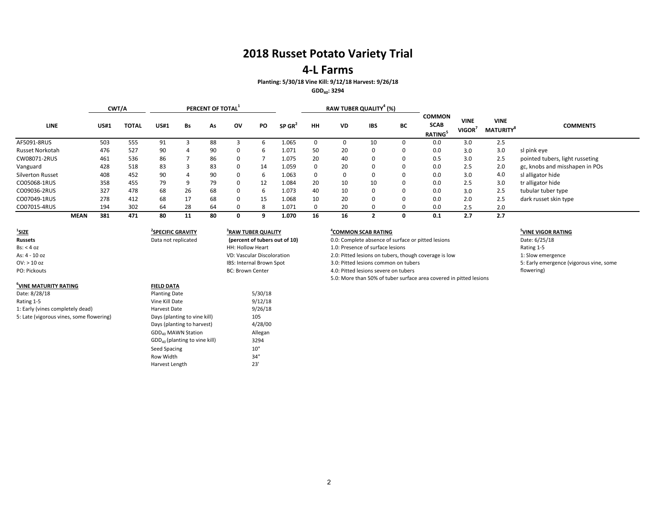### **4-L Farms**

### **Planting: 5/30/18 Vine Kill: 9/12/18 Harvest: 9/26/18**

**GDD40: 3294**

|                        |             | CWT/A       |              |             |    | PERCENT OF TOTAL <sup>1</sup> |          |     |                      |          | RAW TUBER QUALITY <sup>4</sup> (%) |            |          |                                               |                             |                                             |                                 |
|------------------------|-------------|-------------|--------------|-------------|----|-------------------------------|----------|-----|----------------------|----------|------------------------------------|------------|----------|-----------------------------------------------|-----------------------------|---------------------------------------------|---------------------------------|
| <b>LINE</b>            |             | <b>US#1</b> | <b>TOTAL</b> | <b>US#1</b> | Bs | As                            | ov       | PO. | $SP$ GR <sup>2</sup> | HH       | <b>VD</b>                          | <b>IBS</b> | BC       | <b>COMMON</b><br><b>SCAB</b><br><b>RATING</b> | <b>VINE</b><br><b>VIGOR</b> | <b>VINE</b><br><b>MATURITY</b> <sup>8</sup> | <b>COMMENTS</b>                 |
| AF5091-8RUS            |             | 503         | 555          | 91          |    | 88                            |          |     | 1.065                |          | <sup>0</sup>                       | 10         |          | 0.0                                           | 3.0                         | 2.5                                         |                                 |
| <b>Russet Norkotah</b> |             | 476         | 527          | 90          | 4  | 90                            | $\Omega$ | h   | 1.071                | 50       | 20                                 | 0          | -0       | 0.0                                           | 3.0                         | 3.0                                         | sl pink eye                     |
| CW08071-2RUS           |             | 461         | 536          | 86          |    | 86                            | $\Omega$ |     | 1.075                | 20       | 40                                 | 0          |          | 0.5                                           | 3.0                         | 2.5                                         | pointed tubers, light russeting |
| Vanguard               |             | 428         | 518          | 83          |    | 83                            | $\Omega$ | 14  | 1.059                | $\Omega$ | 20                                 | 0          | 0        | 0.0                                           | 2.5                         | 2.0                                         | gc, knobs and misshapen in POs  |
| Silverton Russet       |             | 408         | 452          | 90          | 4  | 90                            | $\Omega$ | h   | 1.063                | $\Omega$ | 0                                  | 0          |          | 0.0                                           | 3.0                         | 4.0                                         | sl alligator hide               |
| CO05068-1RUS           |             | 358         | 455          | 79          | 9  | 79                            | $\Omega$ | 12  | 1.084                | 20       | 10                                 | 10         | $\Omega$ | 0.0                                           | 2.5                         | 3.0                                         | tr alligator hide               |
| CO09036-2RUS           |             | 327         | 478          | 68          | 26 | 68                            | $\Omega$ |     | 1.073                | 40       | 10                                 | 0          | 0        | 0.0                                           | 3.0                         | 2.5                                         | tubular tuber type              |
| CO07049-1RUS           |             | 278         | 412          | 68          | 17 | 68                            | $\Omega$ | 15  | 1.068                | 10       | 20                                 | 0          |          | 0.0                                           | 2.0                         | 2.5                                         | dark russet skin type           |
| CO07015-4RUS           |             | 194         | 302          | 64          | 28 | 64                            | 0        |     | 1.071                |          | 20                                 |            |          | 0.0                                           | 2.5                         | 2.0                                         |                                 |
|                        | <b>MEAN</b> | 381         | 471          | 80          | 11 | 80                            | 0        |     | 1.070                | 16       | 16                                 |            | 0        | 0.1                                           | 2.7                         | 2.7                                         |                                 |

| <u>'SIZE</u>                             | <b>SPECIFIC GRAVITY</b>         | <sup>3</sup> RAW TUBER QUALITY    | 'COMMON SCAB RATING                                                | <sup>3</sup> VINE VIGOR RATII |
|------------------------------------------|---------------------------------|-----------------------------------|--------------------------------------------------------------------|-------------------------------|
| <b>Russets</b>                           | Data not replicated             | (percent of tubers out of 10)     | 0.0: Complete absence of surface or pitted lesions                 | Date: 6/25/18                 |
| Bs: < 4 oz                               |                                 | HH: Hollow Heart                  | 1.0: Presence of surface lesions                                   | Rating 1-5                    |
| As: 4 - 10 oz                            |                                 | <b>VD: Vascular Discoloration</b> | 2.0: Pitted lesions on tubers, though coverage is low              | 1: Slow emergence             |
| $OV:$ > 10 oz                            |                                 | IBS: Internal Brown Spot          | 3.0: Pitted lesions common on tubers                               | 5: Early emergence            |
| PO: Pickouts                             |                                 | <b>BC: Brown Center</b>           | 4.0: Pitted lesions severe on tubers                               | flowering)                    |
|                                          |                                 |                                   | 5.0: More than 50% of tuber surface area covered in pitted lesions |                               |
| <sup>6</sup> VINE MATURITY RATING        | <b>FIELD DATA</b>               |                                   |                                                                    |                               |
| Date: 8/28/18                            | <b>Planting Date</b>            | 5/30/18                           |                                                                    |                               |
| Rating 1-5                               | Vine Kill Date                  | 9/12/18                           |                                                                    |                               |
| 1: Early (vines completely dead)         | Harvest Date                    | 9/26/18                           |                                                                    |                               |
| 5: Late (vigorous vines, some flowering) | Days (planting to vine kill)    | 105                               |                                                                    |                               |
|                                          | Days (planting to harvest)      | 4/28/00                           |                                                                    |                               |
|                                          | GDD <sub>40</sub> MAWN Station  | Allegan                           |                                                                    |                               |
|                                          | $GDD40$ (planting to vine kill) | 3294                              |                                                                    |                               |
|                                          | Seed Spacing                    | 10"                               |                                                                    |                               |
|                                          | Row Width                       | 34"                               |                                                                    |                               |
|                                          | Harvest Length                  | 23'                               |                                                                    |                               |

#### **<sup>5</sup>VINE VIGOR RATING**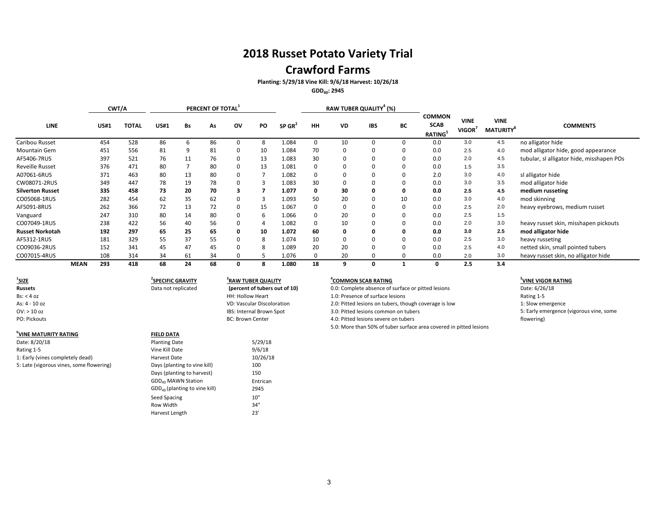### **Crawford Farms**

**Planting: 5/29/18 Vine Kill: 9/6/18 Harvest: 10/26/18**

**GDD40: 2945**

|                         |             | CWT/A       |              |             |    | PERCENT OF TOTAL <sup>1</sup> |              |    |                      |           |           | RAW TUBER QUALITY <sup>4</sup> (%) |    |                                               |                       |                                             |                                           |
|-------------------------|-------------|-------------|--------------|-------------|----|-------------------------------|--------------|----|----------------------|-----------|-----------|------------------------------------|----|-----------------------------------------------|-----------------------|---------------------------------------------|-------------------------------------------|
| <b>LINE</b>             |             | <b>US#1</b> | <b>TOTAL</b> | <b>US#1</b> | Bs | As                            | OV           | PO | $SP$ GR <sup>2</sup> | <b>HH</b> | <b>VD</b> | <b>IBS</b>                         | ВC | <b>COMMON</b><br><b>SCAB</b><br><b>RATING</b> | <b>VINE</b><br>VIGOR' | <b>VINE</b><br><b>MATURITY</b> <sup>8</sup> | <b>COMMENTS</b>                           |
| Caribou Russet          |             | 454         | 528          | 86          | 6  | 86                            | $\Omega$     |    | 1.084                |           | 10        |                                    |    | 0.0                                           | 3.0                   | 4.5                                         | no alligator hide                         |
| Mountain Gem            |             | 451         | 556          | 81          | 9  | 81                            | 0            | 10 | 1.084                | 70        |           |                                    |    | 0.0                                           | 2.5                   | 4.0                                         | mod alligator hide, good appearance       |
| AF5406-7RUS             |             | 397         | 521          | 76          | 11 | 76                            | 0            | 13 | 1.083                | 30        |           |                                    | υ  | 0.0                                           | 2.0                   | 4.5                                         | tubular, sl alligator hide, misshapen POs |
| <b>Reveille Russet</b>  |             | 376         | 471          | 80          |    | 80                            | 0            | 13 | 1.081                |           |           |                                    | υ  | 0.0                                           | 1.5                   | 3.5                                         |                                           |
| A07061-6RUS             |             | 371         | 463          | 80          | 13 | 80                            | 0            |    | 1.082                |           |           |                                    |    | 2.0                                           | 3.0                   | 4.0                                         | sl alligator hide                         |
| CW08071-2RUS            |             | 349         | 447          | 78          | 19 | 78                            | 0            | 3  | 1.083                | 30        |           |                                    | υ  | 0.0                                           | 3.0                   | 3.5                                         | mod alligator hide                        |
| <b>Silverton Russet</b> |             | 335         | 458          | 73          | 20 | 70                            | 3            |    | 1.077                | 0         | 30        |                                    | υ  | 0.0                                           | 2.5                   | 4.5                                         | medium russeting                          |
| CO05068-1RUS            |             | 282         | 454          | 62          | 35 | 62                            | 0            |    | 1.093                | 50        | 20        |                                    | 10 | 0.0                                           | 3.0                   | 4.0                                         | mod skinning                              |
| AF5091-8RUS             |             | 262         | 366          | 72          | 13 | 72                            | 0            | 15 | 1.067                |           |           |                                    | 0  | 0.0                                           | 2.5                   | 2.0                                         | heavy eyebrows, medium russet             |
| Vanguard                |             | 247         | 310          | 80          | 14 | 80                            | 0            |    | 1.066                |           | 20        |                                    |    | 0.0                                           | 2.5                   | 1.5                                         |                                           |
| CO07049-1RUS            |             | 238         | 422          | 56          | 40 | 56                            | 0            |    | 1.082                |           | 10        |                                    |    | 0.0                                           | 2.0                   | 3.0                                         | heavy russet skin, misshapen pickouts     |
| <b>Russet Norkotah</b>  |             | 192         | 297          | 65          | 25 | 65                            | 0            | 10 | 1.072                | 60        |           |                                    |    | 0.0                                           | 3.0                   | 2.5                                         | mod alligator hide                        |
| AF5312-1RUS             |             | 181         | 329          | 55          | 37 | 55                            | 0            | 8  | 1.074                | 10        |           |                                    |    | 0.0                                           | 2.5                   | 3.0                                         | heavy russeting                           |
| CO09036-2RUS            |             | 152         | 341          | 45          | 47 | 45                            | $\Omega$     | 8  | 1.089                | 20        | 20        |                                    |    | 0.0                                           | 2.5                   | 4.0                                         | netted skin, small pointed tubers         |
| CO07015-4RUS            |             | 108         | 314          | 34          | 61 | 34                            | <sup>0</sup> |    | 1.076                |           | 20        |                                    |    | 0.0                                           | 2.0                   | 3.0                                         | heavy russet skin, no alligator hide      |
|                         | <b>MEAN</b> | 293         | 418          | 68          | 24 | 68                            | 0            |    | 1.080                | 18        | q         |                                    |    | 0                                             | 2.5                   | 3.4                                         |                                           |

 $1$ **SIZE SIZE <sup>2</sup>**

**6 VINE MATURITY RATING FIELD DATA** Date: 8/20/18 **Planting Date 5/29/18**<br>
Rating 1-5 **Planting Date** 5/29/18 Rating 1-5 and 100 settlem and 100 settlem values of Vine Kill Date 10 settlem values of  $9/6/18$ 1: Early (vines completely dead) Harvest Date 5: Late (vigorous vines, some flowering) Days (planting to vine kill) 100

### **SPECIFIC GRAVITY <sup>4</sup> 3 RAW TUBER QUALITY**

Days (planting to harvest) 150  $GDD_{40}$  MAWN Station<br> $GDD_{40}$  (planting to vine kill) 2945

Seed Spacing 10" Row Width 34"<br>
Harvest Length 23'

 $GDD_{40}$  (planting to vine kill)

Harvest Length 23'

10/26/18

**COMMON SCAB RATING**<br> **EXECUTE:** COMPUTE Absence of surface or pitted lesions<br> **5** Date: 6/26/18 **Russets** Data not replicated (percent of tubers out of 10) 0.0: Complete absence of surface or pitted lesions Date: 6/26/18 Bs: < 4 oz details and the surface of surface lesions and the surface lesions and the surface lesions Rating 1-5 As: 4 - 10 oz VD: Vascular Discoloration 2.0: Pitted lesions on tubers, though coverage is low 1: Slow emergence OV: > 10 oz<br>
BS: Internal Brown Spot 3.0: Pitted lesions common on tubers<br>
PO: Pickouts 4.0: Pitted lesions severe on tubers 4.0: Pitted lesions severe on tubers 5.0: More than 50% of tuber surface area covered in pitted lesions

#### **<sup>5</sup>VINE VIGOR RATING**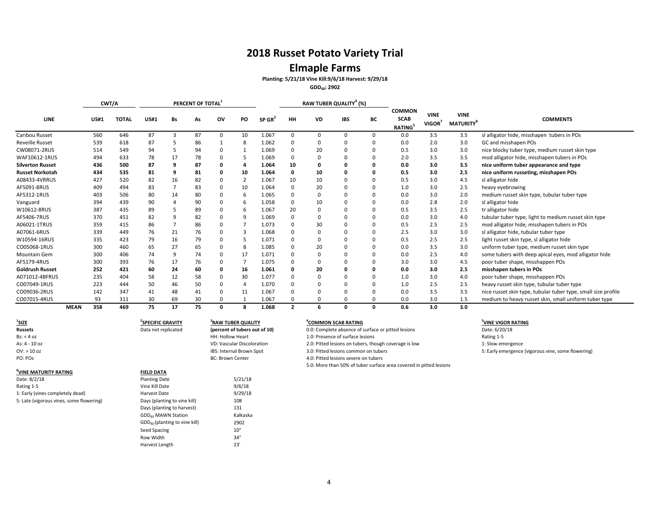## **Elmaple Farms**

**Planting: 5/21/18 Vine Kill:9/6/18 Harvest: 9/29/18**

**GDD40: 2902**

|                         |             | CWT/A       |              |             |    | PERCENT OF TOTAL |              |                |                      |                |              | RAW TUBER QUALITY <sup>4</sup> (%) |              |                                               |                                   |                                             |                                                               |
|-------------------------|-------------|-------------|--------------|-------------|----|------------------|--------------|----------------|----------------------|----------------|--------------|------------------------------------|--------------|-----------------------------------------------|-----------------------------------|---------------------------------------------|---------------------------------------------------------------|
| <b>LINE</b>             |             | <b>US#1</b> | <b>TOTAL</b> | <b>US#1</b> | Bs | As               | ov           | <b>PO</b>      | $SP$ GR <sup>2</sup> | HН             | <b>VD</b>    | <b>IBS</b>                         | BC           | <b>COMMON</b><br><b>SCAB</b><br><b>RATING</b> | <b>VINE</b><br>VIGOR <sup>7</sup> | <b>VINE</b><br><b>MATURITY</b> <sup>8</sup> | <b>COMMENTS</b>                                               |
| Caribou Russet          |             | 560         | 646          | 87          | 3  | 87               | 0            | 10             | 1.067                | $\Omega$       | $\Omega$     | $\Omega$                           | 0            | 0.0                                           | 3.5                               | 3.5                                         | sl alligator hide, misshapen tubers in POs                    |
| <b>Reveille Russet</b>  |             | 539         | 618          | 87          |    | 86               |              | 8              | 1.062                | $\mathbf 0$    |              | $\Omega$                           | 0            | 0.0                                           | 2.0                               | 3.0                                         | GC and misshapen POs                                          |
| CW08071-2RUS            |             | 514         | 549          | 94          |    | 94               | 0            |                | 1.069                | $\Omega$       | 20           | $\Omega$                           | 0            | 0.5                                           | 3.0                               | 3.0                                         | nice blocky tuber type, medium russet skin type               |
| WAF10612-1RUS           |             | 494         | 633          | 78          | 17 | 78               |              | 5              | 1.069                | $\mathbf 0$    |              |                                    |              | 2.0                                           | 3.5                               | 3.5                                         | mod alligator hide, misshapen tubers in POs                   |
| <b>Silverton Russet</b> |             | 436         | 500          | 87          | q  | 87               | 0            |                | 1.064                | 10             |              |                                    | o            | 0.0                                           | 3.0                               | 3.5                                         | nice uniform tuber appearance and type                        |
| <b>Russet Norkotah</b>  |             | 434         | 535          | 81          | 9  | 81               | o            | 10             | 1.064                | $\Omega$       | 10           | $\Omega$                           | o            | 0.5                                           | 3.0                               | 2.5                                         | nice uniform russeting, misshapen POs                         |
| A08433-4VRRUS           |             | 427         | 520          | 82          | 16 | 82               | 0            | $\overline{2}$ | 1.067                | 10             | 10           | n                                  | 0            | 0.5                                           | 3.0                               | 4.5                                         | sl alligator hide                                             |
| AF5091-8RUS             |             | 409         | 494          | 83          |    | 83               | 0            | 10             | 1.064                | $\Omega$       | 20           | $\Omega$                           | <sup>0</sup> | 1.0                                           | 3.0                               | 2.5                                         | heavy eyebrowing                                              |
| AF5312-1RUS             |             | 403         | 506          | 80          | 14 | 80               |              | b              | 1.065                | $\Omega$       |              |                                    |              | 0.0                                           | 3.0                               | 2.0                                         | medium russet skin type, tubular tuber type                   |
| Vanguard                |             | 394         | 439          | 90          |    | 90               |              | 6              | 1.058                | $\mathbf 0$    | 10           |                                    | <sup>0</sup> | 0.0                                           | 2.8                               | 2.0                                         | sl alligator hide                                             |
| W10612-8RUS             |             | 387         | 435          | 89          |    | 89               | n            | b              | 1.067                | 20             |              |                                    | <sup>0</sup> | 0.5                                           | 3.5                               | 2.5                                         | tr alligator hide                                             |
| AF5406-7RUS             |             | 370         | 451          | 82          | q  | 82               | 0            | q              | 1.069                | $\Omega$       | $\Omega$     | $\Omega$                           | <sup>0</sup> | 0.0                                           | 3.0                               | 4.0                                         | tubular tuber type, light to medium russet skin type          |
| A06021-1TRUS            |             | 359         | 415          | 86          |    | 86               | 0            |                | 1.073                | $\Omega$       | 30           | $\Omega$                           | 0            | 0.5                                           | 2.5                               | 2.5                                         | mod alligator hide, misshapen tubers in POs                   |
| A07061-6RUS             |             | 339         | 449          | 76          | 21 | 76               |              |                | 1.068                | $\Omega$       |              |                                    | <sup>0</sup> | 2.5                                           | 3.0                               | 3.0                                         | sl alligator hide, tubular tuber type                         |
| W10594-16RUS            |             | 335         | 423          | 79          | 16 | 79               |              |                | 1.071                | $\Omega$       |              |                                    | 0            | 0.5                                           | 2.5                               | 2.5                                         | light russet skin type, sl alligator hide                     |
| CO05068-1RUS            |             | 300         | 460          | 65          | 27 | 65               | n            | 8              | 1.085                | $\Omega$       | 20           |                                    | <sup>0</sup> | 0.0                                           | 3.5                               | 3.0                                         | uniform tuber type, medium russet skin type                   |
| <b>Mountain Gem</b>     |             | 300         | 406          | 74          | 9  | 74               | 0            | 17             | 1.071                | $\Omega$       | O            | $\Omega$                           | <sup>0</sup> | 0.0                                           | 2.5                               | 4.0                                         | some tubers with deep apical eyes, mod alligator hide         |
| AF5179-4RUS             |             | 300         | 393          | 76          | 17 | 76               | <sup>0</sup> |                | 1.075                | $\Omega$       |              | $\Omega$                           | <sup>0</sup> | 3.0                                           | 3.0                               | 4.5                                         | poor tuber shape, misshappen POs                              |
| <b>Goldrush Russet</b>  |             | 252         | 421          | 60          | 24 | 60               |              | 16             | 1.061                | 0              | 20           |                                    | 0            | 0.0                                           | 3.0                               | 2.5                                         | misshapen tubers in POs                                       |
| A071012-4BFRUS          |             | 235         | 404          | 58          | 12 | 58               |              | 30             | 1.077                | $\Omega$       |              |                                    | <sup>0</sup> | 1.0                                           | 3.0                               | 4.0                                         | poor tuber shape, misshappen POs                              |
| CO07049-1RUS            |             | 223         | 444          | 50          | 46 | 50               | 0            |                | 1.070                | $\Omega$       |              |                                    |              | 1.0                                           | 2.5                               | 2.5                                         | heavy russet skin type, tubular tuber type                    |
| CO09036-2RUS            |             | 142         | 347          | 41          | 48 | 41               | 0            | 11             | 1.067                | $\Omega$       |              |                                    | 0            | 0.0                                           | 3.5                               | 3.5                                         | nice russet skin type, tubular tuber type, small size profile |
| CO07015-4RUS            |             | 93          | 311          | 30          | 69 | 30               | 0            |                | 1.067                | $\Omega$       | <sup>0</sup> | 0                                  | <sup>0</sup> | 0.0                                           | 3.0                               | 1.5                                         | medium to heavy russet skin, small uniform tuber type         |
|                         | <b>MEAN</b> | 358         | 469          | 75          | 17 | 75               | 0            | я              | 1.068                | $\overline{2}$ | 6            | 0                                  | 0            | 0.6                                           | 3.0                               | 3.0                                         |                                                               |

| 'SIZE                                    | <b>SPECIFIC GRAVITY</b>         | <sup>3</sup> RAW TUBER QUALITY | COMMON SCAB RATING                                                 | <sup>5</sup> VINE VIGOR RATING                     |
|------------------------------------------|---------------------------------|--------------------------------|--------------------------------------------------------------------|----------------------------------------------------|
| <b>Russets</b>                           | Data not replicated             | (percent of tubers out of 10)  | 0.0: Complete absence of surface or pitted lesions                 | Date: 6/20/18                                      |
| Bs: < 4 oz                               |                                 | HH: Hollow Heart               | 1.0: Presence of surface lesions                                   | Rating 1-5                                         |
| As: 4 - 10 oz                            |                                 | VD: Vascular Discoloration     | 2.0: Pitted lesions on tubers, though coverage is low              | 1: Slow emergence                                  |
| $OV:$ > 10 oz                            |                                 | IBS: Internal Brown Spot       | 3.0: Pitted lesions common on tubers                               | 5: Early emergence (vigorous vine, some flowering) |
| PO: POs                                  |                                 | <b>BC: Brown Center</b>        | 4.0: Pitted lesions severe on tubers                               |                                                    |
|                                          |                                 |                                | 5.0: More than 50% of tuber surface area covered in pitted lesions |                                                    |
| VINE MATURITY RATING                     | <b>FIELD DATA</b>               |                                |                                                                    |                                                    |
| Date: 8/2/18                             | <b>Planting Date</b>            | 5/21/18                        |                                                                    |                                                    |
| Rating 1-5                               | Vine Kill Date                  | 9/6/18                         |                                                                    |                                                    |
| 1: Early (vines completely dead)         | Harvest Date                    | 9/29/18                        |                                                                    |                                                    |
| 5: Late (vigorous vines, some flowering) | Days (planting to vine kill)    | 108                            |                                                                    |                                                    |
|                                          | Days (planting to harvest)      | 131                            |                                                                    |                                                    |
|                                          | GDD <sub>40</sub> MAWN Station  | Kalkaska                       |                                                                    |                                                    |
|                                          | $GDD40$ (planting to vine kill) | 2902                           |                                                                    |                                                    |
|                                          | Seed Spacing                    | 10"                            |                                                                    |                                                    |
|                                          | Row Width                       | 34"                            |                                                                    |                                                    |
|                                          | Harvest Length                  | 23'                            |                                                                    |                                                    |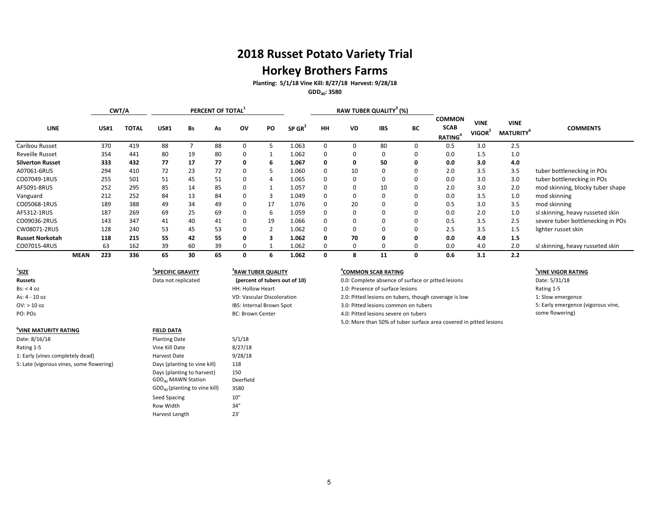## **Horkey Brothers Farms**

**Planting: 5/1/18 Vine Kill: 8/27/18 Harvest: 9/28/18**

**GDD40: 3580**

|                         |             |             | CWT/A        |             |    | PERCENT OF TOTAL <sup>1</sup> |          |    |                      |          |           | RAW TUBER QUALITY <sup>3</sup> (%) |    |                                                     |                                   |                                             |                                   |
|-------------------------|-------------|-------------|--------------|-------------|----|-------------------------------|----------|----|----------------------|----------|-----------|------------------------------------|----|-----------------------------------------------------|-----------------------------------|---------------------------------------------|-----------------------------------|
| LINE                    |             | <b>US#1</b> | <b>TOTAL</b> | <b>US#1</b> | Bs | As                            | ov       | PO | $SP$ GR <sup>2</sup> | HH       | <b>VD</b> | <b>IBS</b>                         | BC | <b>COMMON</b><br><b>SCAB</b><br>RATING <sup>4</sup> | <b>VINE</b><br>VIGOR <sup>5</sup> | <b>VINE</b><br><b>MATURITY</b> <sup>6</sup> | <b>COMMENTS</b>                   |
| Caribou Russet          |             | 370         | 419          | 88          |    | 88                            | 0        |    | 1.063                | $\Omega$ |           | 80                                 |    | 0.5                                                 | 3.0                               | 2.5                                         |                                   |
| <b>Reveille Russet</b>  |             | 354         | 441          | 80          | 19 | 80                            | $\Omega$ |    | 1.062                | $\Omega$ |           | $\Omega$                           |    | 0.0                                                 | 1.5                               | 1.0                                         |                                   |
| <b>Silverton Russet</b> |             | 333         | 432          | 77          | 17 | 77                            | 0        | ь  | 1.067                | 0        |           | 50                                 | 0  | 0.0                                                 | 3.0                               | 4.0                                         |                                   |
| A07061-6RUS             |             | 294         | 410          | 72          | 23 | 72                            | 0        |    | 1.060                | $\Omega$ | 10        | 0                                  |    | 2.0                                                 | 3.5                               | 3.5                                         | tuber bottlenecking in POs        |
| CO07049-1RUS            |             | 255         | 501          | 51          | 45 | 51                            | 0        | 4  | 1.065                | $\Omega$ |           | 0                                  |    | 0.0                                                 | 3.0                               | 3.0                                         | tuber bottlenecking in POs        |
| AF5091-8RUS             |             | 252         | 295          | 85          | 14 | 85                            | $\Omega$ |    | 1.057                | 0        |           | 10                                 |    | 2.0                                                 | 3.0                               | 2.0                                         | mod skinning, blocky tuber shape  |
| Vanguard                |             | 212         | 252          | 84          | 13 | 84                            | $\Omega$ |    | 1.049                | 0        |           | $\Omega$                           |    | 0.0                                                 | 3.5                               | 1.0                                         | mod skinning                      |
| CO05068-1RUS            |             | 189         | 388          | 49          | 34 | 49                            | $\Omega$ | 17 | 1.076                | 0        | 20        | 0                                  |    | 0.5                                                 | 3.0                               | 3.5                                         | mod skinning                      |
| AF5312-1RUS             |             | 187         | 269          | 69          | 25 | 69                            | $\Omega$ | 6  | 1.059                | $\Omega$ |           | 0                                  |    | 0.0                                                 | 2.0                               | 1.0                                         | sl skinning, heavy russeted skin  |
| CO09036-2RUS            |             | 143         | 347          | 41          | 40 | 41                            | $\Omega$ | 19 | 1.066                | $\Omega$ |           | 0                                  |    | 0.5                                                 | 3.5                               | 2.5                                         | severe tuber bottlenecking in POs |
| CW08071-2RUS            |             | 128         | 240          | 53          | 45 | 53                            | $\Omega$ |    | 1.062                | $\Omega$ |           | 0                                  |    | 2.5                                                 | 3.5                               | 1.5                                         | lighter russet skin               |
| <b>Russet Norkotah</b>  |             | 118         | 215          | 55          | 42 | 55                            | O        |    | 1.062                | $\Omega$ | 70        | 0                                  |    | 0.0                                                 | 4.0                               | 1.5                                         |                                   |
| CO07015-4RUS            |             | 63          | 162          | 39          | 60 | 39                            | $\Omega$ |    | 1.062                | $\Omega$ |           |                                    |    | 0.0                                                 | 4.0                               | 2.0                                         | sl skinning, heavy russeted skin  |
|                         | <b>MEAN</b> | 223         | 336          | 65          | 30 | 65                            | 0        |    | 1.062                | 0        | 8         | 11                                 |    | 0.6                                                 | 3.1                               | 2.2                                         |                                   |

<sup>1</sup>SIZE **SIZE <sup>2</sup>**

#### **6 VINE MATURITY RATING FIELD DATA**

Date: 8/16/18 **Planting Date** 5/1/18 Rating 1-5 8/27/18 1: Early (vines completely dead) Harvest Date 9/28/18 5: Late (vigorous vines, some flowering) Days (planting to vine kill) 118

# **SPECIFIC GRAVITY <sup>4</sup> 3 RAW TUBER QUALITY (percent of tubers out of 10)**

Days (planting to harvest) 150<br>GDD<sub>40</sub> MAWN Station Deerfield

GDD<sub>40</sub> (planting to vine kill) 3580 Seed Spacing 10" Row Width 34" Harvest Length 23'

 $GDD_{40}$  MAWN Station

#### **COMMON SCAB RATING <sup>5</sup>**

**Russets** Data not replicated **Dercent of tubers out of 10** 0.0: Complete absence of surface or pitted lesions Date: 5/31/18 Bs: < 4 oz details and the surface of surface lesions and the surface lesions and the surface lesions and the surface lesions and the surface lesions and the surface lesions and the surface lesions and the surface lesions As: 4 - 10 oz vascular Discoloration and the U.S. Providence of the U.S. Providence is low the state of the State of the State of the State of the State of the State of the State of the State of the State of the State of t OV: > 10 oz Internal Brown Spot 3.0: Pitted lesions common on tubers 3.0: Pitted lesions common on tubers PO: POS examples a proportion of the BC: Brown Center and the 4.0: Pitted lesions severe on tubers 5.0: More than 50% of tuber surface area covered in pitted lesions

#### **<sup>5</sup>VINE VIGOR RATING**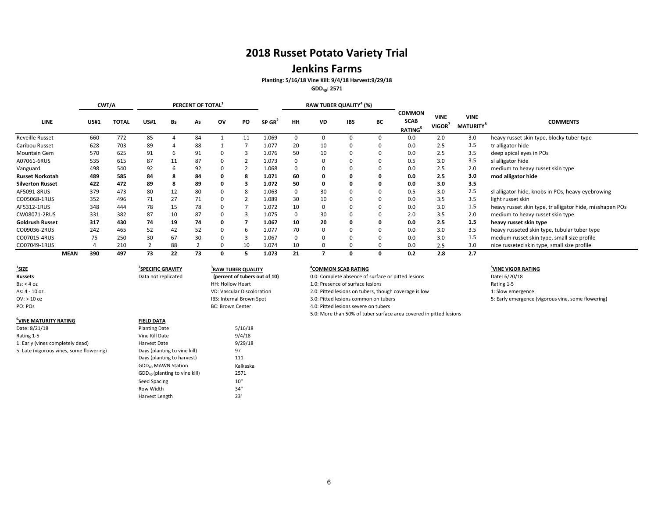### **Jenkins Farms**

**Planting: 5/16/18 Vine Kill: 9/4/18 Harvest:9/29/18**

**GDD40: 2571**

|                         |             |             | CWT/A        |             |    | PERCENT OF TOTAL |    |    |                      |    |           | RAW TUBER QUALITY <sup>4</sup> (%) |    |                                               |                       |                                             |                                                          |
|-------------------------|-------------|-------------|--------------|-------------|----|------------------|----|----|----------------------|----|-----------|------------------------------------|----|-----------------------------------------------|-----------------------|---------------------------------------------|----------------------------------------------------------|
| <b>LINE</b>             |             | <b>US#1</b> | <b>TOTAL</b> | <b>US#1</b> | Bs | As               | ov | PO | $SP$ GR <sup>2</sup> | HH | <b>VD</b> | <b>IBS</b>                         | BС | <b>COMMON</b><br><b>SCAB</b><br><b>RATING</b> | <b>VINE</b><br>VIGOR' | <b>VINE</b><br><b>MATURITY</b> <sup>8</sup> | <b>COMMENTS</b>                                          |
| <b>Reveille Russet</b>  |             | 660         | 772          | 85          |    | 84               |    |    | 1.069                |    |           |                                    |    | 0.0                                           | 2.0                   | 3.0                                         | heavy russet skin type, blocky tuber type                |
| Caribou Russet          |             | 628         | 703          | 89          |    | 88               |    |    | 1.077                | 20 | 10        | 0                                  |    | 0.0                                           | 2.5                   | 3.5                                         | tr alligator hide                                        |
| Mountain Gem            |             | 570         | 625          | 91          |    | 91               |    |    | 1.076                | 50 | 10        | 0                                  |    | 0.0                                           | 2.5                   | 3.5                                         | deep apical eyes in POs                                  |
| A07061-6RUS             |             | 535         | 615          | 87          | 11 | 87               |    |    | 1.073                |    |           | 0                                  |    | 0.5                                           | 3.0                   | 3.5                                         | sl alligator hide                                        |
| Vanguard                |             | 498         | 540          | 92          | b  | 92               |    |    | 1.068                |    |           | 0                                  |    | 0.0                                           | 2.5                   | 2.0                                         | medium to heavy russet skin type                         |
| <b>Russet Norkotah</b>  |             | 489         | 585          | 84          |    | 84               |    | -8 | 1.071                | 60 |           | 0                                  | 0  | 0.0                                           | 2.5                   | 3.0                                         | mod alligator hide                                       |
| <b>Silverton Russet</b> |             | 422         | 472          | 89          |    | 89               |    |    | 1.072                | 50 |           |                                    |    | 0.0                                           | 3.0                   | 3.5                                         |                                                          |
| AF5091-8RUS             |             | 379         | 473          | 80          | 12 | 80               |    |    | 1.063                |    | 30        |                                    |    | 0.5                                           | 3.0                   | 2.5                                         | sl alligator hide, knobs in POs, heavy eyebrowing        |
| CO05068-1RUS            |             | 352         | 496          | 71          | 27 | 71               |    |    | 1.089                | 30 | 10        | 0                                  |    | 0.0                                           | 3.5                   | 3.5                                         | light russet skin                                        |
| AF5312-1RUS             |             | 348         | 444          | 78          | 15 | 78               |    |    | 1.072                | 10 |           | 0                                  |    | 0.0                                           | 3.0                   | 1.5                                         | heavy russet skin type, tr alligator hide, misshapen POs |
| CW08071-2RUS            |             | 331         | 382          | 87          | 10 | 87               |    |    | 1.075                |    | 30        | 0                                  |    | 2.0                                           | 3.5                   | 2.0                                         | medium to heavy russet skin type                         |
| <b>Goldrush Russet</b>  |             | 317         | 430          | 74          | 19 | 74               | o  |    | 1.067                | 10 | 20        | 0                                  | o  | 0.0                                           | 2.5                   | 1.5                                         | heavy russet skin type                                   |
| CO09036-2RUS            |             | 242         | 465          | 52          | 42 | 52               |    | h  | 1.077                | 70 |           | 0                                  |    | 0.0                                           | 3.0                   | 3.5                                         | heavy russeted skin type, tubular tuber type             |
| CO07015-4RUS            |             | 75          | 250          | 30          | 67 | 30               |    |    | 1.067                |    |           | 0                                  |    | 0.0                                           | 3.0                   | 1.5                                         | medium russet skin type, small size profile              |
| CO07049-1RUS            |             |             | 210          |             | 88 |                  |    | 10 | 1.074                | 10 |           |                                    |    | 0.0                                           | 2.5                   | 3.0                                         | nice russeted skin type, small size profile              |
|                         | <b>MEAN</b> | 390         | 497          | 73          | 22 | 73               |    |    | 1.073                | 21 |           | 0                                  |    | 0.2                                           | 2.8                   | 2.7                                         |                                                          |

 $1$ **SIZE SIZE <sup>2</sup>**

#### **6 VINE MATURITY RATING FIELD DATA**

Date: 8/21/18 **Date: 8/21/18** Planting Date 5/16/18 **Planting Date** 5/16/18 **Planting Date** 5/16/18 1: Early (vines completely dead) <br>
5: Late (vigorous vines, some flowering) <br>
Days (planting to vine kill) 97 5: Late (vigorous vines, some flowering) Days (planting to vine kill)

## **SPECIFIC GRAVITY <sup>4</sup> 3 RAW TUBER QUALITY** Bs: < 4 oz HH: Hollow Heart 1.0: Presence of surface lesions Rating 1-5

# OV: > 10 oz 10 oz 10 oz 19 oz Internal Brown Spot 1995: Internal Brown Spot 1995: Internal Brown Spot 1995: PO: POS<br>
BC: Brown Center 1997: A U: Pitted lesions severe on tubers 1999 of the start of the Section Spot 1999 of

Vine Kill Date

Harvest Length

Days (planting to harvest) 111 GDD<sub>40</sub> MAWN Station Kalkaska GDD<sub>40</sub> (planting to vine kill) 2571 Seed Spacing 10"<br>
Row Width 10"<br>
34" Row Width 34'<br>Harvest Length 23'

- <sup>4</sup>COMMON SCAB RATING<br>
0.0: Complete absence of surface or pitted lesions<br> **5** Date: 6/20/18 **Russets** Data not replicated **(percent of tubers out of 10)** 0.0: Complete absence of surface or pitted lesions Date: 6/20/18
	-
- As: 4 10 oz vascular Discoloration 2.0: Pitted lesions on tubers, though coverage is low 1: Slow emergence
	-
	- 4.0: Pitted lesions severe on tubers
		- 5.0: More than 50% of tuber surface area covered in pitted lesions

#### **VINE VIGOR RATING**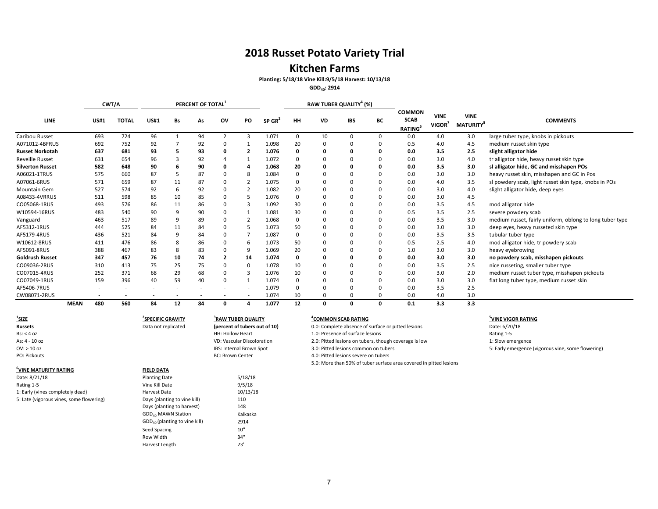### **Kitchen Farms**

**Planting: 5/18/18 Vine Kill:9/5/18 Harvest: 10/13/18**

**GDD40: 2914**

|                         |             |             | CWT/A        |             |    | PERCENT OF TOTAL |                |          |                    |          |    | RAW TUBER QUALITY <sup>4</sup> (%) |          |                                               |                                   |                                             |                                                          |
|-------------------------|-------------|-------------|--------------|-------------|----|------------------|----------------|----------|--------------------|----------|----|------------------------------------|----------|-----------------------------------------------|-----------------------------------|---------------------------------------------|----------------------------------------------------------|
| <b>LINE</b>             |             | <b>US#1</b> | <b>TOTAL</b> | <b>US#1</b> | Bs | As               | ov             | PO       | SP GR <sup>4</sup> | HH       | VD | <b>IBS</b>                         | BС       | <b>COMMON</b><br><b>SCAB</b><br><b>RATING</b> | <b>VINE</b><br>VIGOR <sup>7</sup> | <b>VINE</b><br><b>MATURITY</b> <sup>8</sup> | <b>COMMENTS</b>                                          |
| Caribou Russet          |             | 693         | 724          | 96          |    | 94               | $\overline{2}$ | 3        | 1.071              | 0        | 10 | $\Omega$                           | 0        | 0.0                                           | 4.0                               | 3.0                                         | large tuber type, knobs in pickouts                      |
| A071012-4BFRUS          |             | 692         | 752          | 92          |    | 92               |                |          | 1.098              | 20       |    |                                    | 0        | 0.5                                           | 4.0                               | 4.5                                         | medium russet skin type                                  |
| <b>Russet Norkotah</b>  |             | 637         | 681          | 93          |    | 93               | o              | - 2      | 1.076              | 0        |    |                                    | O        | 0.0                                           | 3.5                               | 2.5                                         | slight alligator hide                                    |
| <b>Reveille Russet</b>  |             | 631         | 654          | 96          | З  | 92               |                |          | 1.072              | $\Omega$ |    |                                    | $\Omega$ | 0.0                                           | 3.0                               | 4.0                                         | tr alligator hide, heavy russet skin type                |
| <b>Silverton Russet</b> |             | 582         | 648          | 90          | h  | 90               | O              |          | 1.068              | 20       |    |                                    | O        | 0.0                                           | 3.5                               | 3.0                                         | sl alligator hide, GC and misshapen POs                  |
| A06021-1TRUS            |             | 575         | 660          | 87          |    | 87               | <sup>0</sup>   | -8       | 1.084              | $\Omega$ |    |                                    | 0        | 0.0                                           | 3.0                               | 3.0                                         | heavy russet skin, misshapen and GC in Pos               |
| A07061-6RUS             |             | 571         | 659          | 87          |    | 87               |                |          | 1.075              | 0        |    |                                    | $\Omega$ | 0.0                                           | 4.0                               | 3.5                                         | sl powdery scab, light russet skin type, knobs in POs    |
| <b>Mountain Gem</b>     |             | 527         | 574          | 92          | 6  | 92               | 0              |          | 1.082              | 20       |    |                                    | $\Omega$ | 0.0                                           | 3.0                               | 4.0                                         | slight alligator hide, deep eyes                         |
| A08433-4VRRUS           |             | 511         | 598          | 85          | 10 | 85               |                |          | 1.076              | $\Omega$ |    |                                    | $\Omega$ | 0.0                                           | 3.0                               | 4.5                                         |                                                          |
| CO05068-1RUS            |             | 493         | 576          | 86          | 11 | 86               | <sup>0</sup>   | 3        | 1.092              | 30       |    |                                    | $\Omega$ | 0.0                                           | 3.5                               | 4.5                                         | mod alligator hide                                       |
| W10594-16RUS            |             | 483         | 540          | 90          | 9  | 90               |                |          | 1.081              | 30       |    |                                    | 0        | 0.5                                           | 3.5                               | 2.5                                         | severe powdery scab                                      |
| Vanguard                |             | 463         | 517          | 89          |    | 89               | n              |          | 1.068              | 0        |    |                                    | $\Omega$ | 0.0                                           | 3.5                               | 3.0                                         | medium russet, fairly uniform, oblong to long tuber type |
| AF5312-1RUS             |             | 444         | 525          | 84          | 11 | 84               |                |          | 1.073              | 50       |    |                                    | $\Omega$ | 0.0                                           | 3.0                               | 3.0                                         | deep eyes, heavy russeted skin type                      |
| AF5179-4RUS             |             | 436         | 521          | 84          | 9  | 84               | 0              |          | 1.087              | $\Omega$ |    |                                    | $\Omega$ | 0.0                                           | 3.5                               | 3.5                                         | tubular tuber type                                       |
| W10612-8RUS             |             | 411         | 476          | 86          | 8  | 86               | <sup>0</sup>   | 6        | 1.073              | 50       |    |                                    | 0        | 0.5                                           | 2.5                               | 4.0                                         | mod alligator hide, tr powdery scab                      |
| AF5091-8RUS             |             | 388         | 467          | 83          | 8  | 83               |                | -9       | 1.069              | 20       |    |                                    | $\Omega$ | 1.0                                           | 3.0                               | 3.0                                         | heavy eyebrowing                                         |
| <b>Goldrush Russet</b>  |             | 347         | 457          | 76          | 10 | 74               |                | 14       | 1.074              | 0        |    |                                    | 0        | 0.0                                           | 3.0                               | 3.0                                         | no powdery scab, misshapen pickouts                      |
| CO09036-2RUS            |             | 310         | 413          | 75          | 25 | 75               | <sup>0</sup>   | $\Omega$ | 1.078              | 10       |    |                                    | $\Omega$ | 0.0                                           | 3.5                               | 2.5                                         | nice russeting, smaller tuber type                       |
| CO07015-4RUS            |             | 252         | 371          | 68          | 29 | 68               | 0              | 3        | 1.076              | 10       |    |                                    | $\Omega$ | 0.0                                           | 3.0                               | 2.0                                         | medium russet tuber type, misshapen pickouts             |
| CO07049-1RUS            |             | 159         | 396          | 40          | 59 | 40               | 0              |          | 1.074              | 0        |    |                                    | 0        | 0.0                                           | 3.0                               | 3.0                                         | flat long tuber type, medium russet skin                 |
| AF5406-7RUS             |             |             |              |             |    |                  |                |          | 1.079              | 0        |    |                                    | 0        | 0.0                                           | 3.5                               | 2.5                                         |                                                          |
| CW08071-2RUS            |             |             |              |             |    |                  |                |          | 1.074              | 10       |    |                                    | $\Omega$ | 0.0                                           | 4.0                               | 3.0                                         |                                                          |
|                         | <b>MEAN</b> | 480         | 560          | 84          | 12 | 84               | 0              | 4        | 1.077              | 12       | 0  | $\mathbf{0}$                       | 0        | 0.1                                           | 3.3                               | 3.3                                         |                                                          |

| $\frac{1}{2}$ size                       | <b>SPECIFIC GRAVITY</b>         | <sup>3</sup> RAW TUBER QUALITY    | <b>COMMON SCAB RATING</b>                                          | <b>YINE VIGOR RATI</b> I |
|------------------------------------------|---------------------------------|-----------------------------------|--------------------------------------------------------------------|--------------------------|
| <b>Russets</b>                           | Data not replicated             | (percent of tubers out of 10)     | 0.0: Complete absence of surface or pitted lesions                 | Date: 6/20/18            |
| Bs: < 4 oz                               |                                 | HH: Hollow Heart                  | 1.0: Presence of surface lesions                                   | Rating 1-5               |
| As: 4 - 10 oz                            |                                 | <b>VD: Vascular Discoloration</b> | 2.0: Pitted lesions on tubers, though coverage is low              | 1: Slow emergence        |
| $OV:$ > 10 oz                            |                                 | IBS: Internal Brown Spot          | 3.0: Pitted lesions common on tubers                               | 5: Early emergence       |
| PO: Pickouts                             |                                 | <b>BC: Brown Center</b>           | 4.0: Pitted lesions severe on tubers                               |                          |
|                                          |                                 |                                   | 5.0: More than 50% of tuber surface area covered in pitted lesions |                          |
| <sup>6</sup> VINE MATURITY RATING        | <b>FIELD DATA</b>               |                                   |                                                                    |                          |
| Date: 8/21/18                            | <b>Planting Date</b>            | 5/18/18                           |                                                                    |                          |
| Rating 1-5                               | Vine Kill Date                  | 9/5/18                            |                                                                    |                          |
| 1: Early (vines completely dead)         | Harvest Date                    | 10/13/18                          |                                                                    |                          |
| 5: Late (vigorous vines, some flowering) | Days (planting to vine kill)    | 110                               |                                                                    |                          |
|                                          | Days (planting to harvest)      | 148                               |                                                                    |                          |
|                                          | GDD <sub>40</sub> MAWN Station  | Kalkaska                          |                                                                    |                          |
|                                          | $GDD40$ (planting to vine kill) | 2914                              |                                                                    |                          |
|                                          | Seed Spacing                    | 10"                               |                                                                    |                          |
|                                          | Row Width                       | 34"                               |                                                                    |                          |
|                                          | Harvest Length                  | 23'                               |                                                                    |                          |

**VINE VIGOR RATING**<br>Date: 6/20/18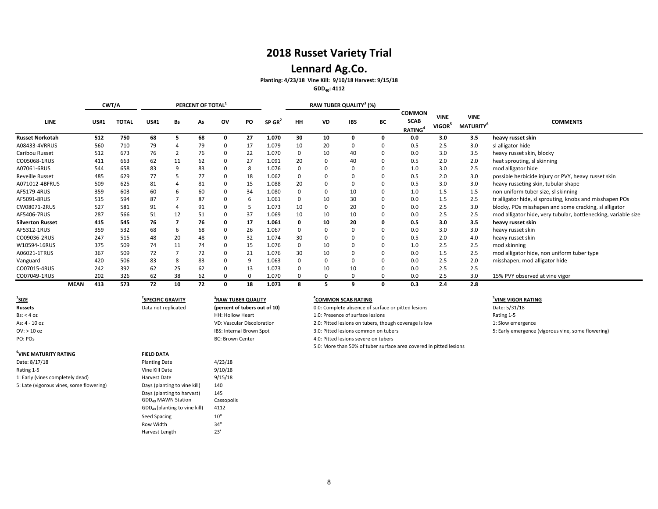## **2018 Russet Variety Trial**

## **Lennard Ag.Co.**

#### **Planting: 4/23/18 Vine Kill: 9/10/18 Harvest: 9/15/18**

**GDD40: 4112**

|                         |             |             | CWT/A        |                         |    | PERCENT OF TOTAL |                                |    |                      |          |          | RAW TUBER QUALITY <sup>3</sup> (%) |          |                                               |                                   |                                             |                                                                |
|-------------------------|-------------|-------------|--------------|-------------------------|----|------------------|--------------------------------|----|----------------------|----------|----------|------------------------------------|----------|-----------------------------------------------|-----------------------------------|---------------------------------------------|----------------------------------------------------------------|
| LINE                    |             | <b>US#1</b> | <b>TOTAL</b> | <b>US#1</b>             | Bs | As               | ov                             | PO | $SP$ GR <sup>2</sup> | HH       | VD       | <b>IBS</b>                         | BC       | <b>COMMON</b><br><b>SCAB</b><br><b>RATING</b> | <b>VINE</b><br>VIGOR <sup>5</sup> | <b>VINE</b><br><b>MATURITY</b> <sup>6</sup> | <b>COMMENTS</b>                                                |
| <b>Russet Norkotah</b>  |             | 512         | 750          | 68                      |    | 68               | 0                              | 27 | 1.070                | 30       | 10       | 0                                  | $\Omega$ | 0.0                                           | 3.0                               | 3.5                                         | heavy russet skin                                              |
| A08433-4VRRUS           |             | 560         | 710          | 79                      |    | 79               | $\Omega$                       | 17 | 1.079                | 10       | 20       | 0                                  |          | 0.5                                           | 2.5                               | 3.0                                         | sl alligator hide                                              |
| Caribou Russet          |             | 512         | 673          | 76                      |    | 76               | $\Omega$                       | 22 | 1.070                | $\Omega$ | 10       | 40                                 |          | 0.0                                           | 3.0                               | 3.5                                         | heavy russet skin, blocky                                      |
| CO05068-1RUS            |             | 411         | 663          | 62                      | 11 | 62               | $\Omega$                       | 27 | 1.091                | 20       | $\Omega$ | 40                                 |          | 0.5                                           | 2.0                               | 2.0                                         | heat sprouting, sl skinning                                    |
| A07061-6RUS             |             | 544         | 658          | 83                      |    | 83               | 0                              | 8  | 1.076                |          | $\Omega$ | 0                                  |          | 1.0                                           | 3.0                               | 2.5                                         | mod alligator hide                                             |
| <b>Reveille Russet</b>  |             | 485         | 629          | 77                      |    | 77               | 0                              | 18 | 1.062                |          | $\Omega$ | 0                                  |          | 0.5                                           | 2.0                               | 3.0                                         | possible herbicide injury or PVY, heavy russet skin            |
| A071012-4BFRUS          |             | 509         | 625          | 81                      |    | 81               | 0                              | 15 | 1.088                | 20       | $\Omega$ | 0                                  |          | 0.5                                           | 3.0                               | 3.0                                         | heavy russeting skin, tubular shape                            |
| AF5179-4RUS             |             | 359         | 603          | 60                      |    | 60               | $\Omega$                       | 34 | 1.080                |          | $\Omega$ | 10                                 |          | 1.0                                           | 1.5                               | 1.5                                         | non uniform tuber size, sl skinning                            |
| AF5091-8RUS             |             | 515         | 594          | 87                      |    | 87               | $\Omega$                       | 6  | 1.061                |          | 10       | 30                                 |          | 0.0                                           | 1.5                               | 2.5                                         | tr alligator hide, sl sprouting, knobs and misshapen POs       |
| CW08071-2RUS            |             | 527         | 581          | 91                      |    | 91               | $\Omega$                       |    | 1.073                | 10       | $\Omega$ | 20                                 |          | 0.0                                           | 2.5                               | 3.0                                         | blocky, POs misshapen and some cracking, sl alligator          |
| AF5406-7RUS             |             | 287         | 566          | 51                      | 12 | 51               | $\Omega$                       | 37 | 1.069                | 10       | 10       | 10                                 |          | 0.0                                           | 2.5                               | 2.5                                         | mod alligator hide, very tubular, bottlenecking, variable size |
| <b>Silverton Russet</b> |             | 415         | 545          | 76                      |    | 76               | 0                              | 17 | 1.061                |          | 10       | 20                                 |          | 0.5                                           | 3.0                               | 3.5                                         | heavy russet skin                                              |
| AF5312-1RUS             |             | 359         | 532          | 68                      |    | 68               | $\Omega$                       | 26 | 1.067                |          | $\Omega$ | 0                                  |          | 0.0                                           | 3.0                               | 3.0                                         | heavy russet skin                                              |
| CO09036-2RUS            |             | 247         | 515          | 48                      | 20 | 48               | $\Omega$                       | 32 | 1.074                | 30       | $\Omega$ | $\Omega$                           |          | 0.5                                           | 2.0                               | 4.0                                         | heavy russet skin                                              |
| W10594-16RUS            |             | 375         | 509          | 74                      | 11 | 74               | $\Omega$                       | 15 | 1.076                |          | 10       | $\Omega$                           |          | 1.0                                           | 2.5                               | 2.5                                         | mod skinning                                                   |
| A06021-1TRUS            |             | 367         | 509          | 72                      |    | 72               | $\Omega$                       | 21 | 1.076                | 30       | 10       | $\Omega$                           |          | 0.0                                           | 1.5                               | 2.5                                         | mod alligator hide, non uniform tuber type                     |
| Vanguard                |             | 420         | 506          | 83                      | 8  | 83               | $\Omega$                       | 9  | 1.063                |          | $\Omega$ | $\Omega$                           |          | 0.0                                           | 2.5                               | 2.0                                         | misshapen, mod alligator hide                                  |
| CO07015-4RUS            |             | 242         | 392          | 62                      | 25 | 62               | $\Omega$                       | 13 | 1.073                |          | 10       | 10                                 |          | 0.0                                           | 2.5                               | 2.5                                         |                                                                |
| CO07049-1RUS            |             | 202         | 326          | 62                      | 38 | 62               | $\Omega$                       | 0  | 1.070                |          | $\Omega$ | 0                                  |          | 0.0                                           | 2.5                               | 3.0                                         | 15% PVY observed at vine vigor                                 |
|                         | <b>MEAN</b> | 413         | 573          | 72                      | 10 | 72               | 0                              | 18 | 1.073                | 8        | 5        | 9                                  | $\Omega$ | 0.3                                           | 2.4                               | 2.8                                         |                                                                |
| $\frac{1}{2}$ SIZE      |             |             |              | <b>SPECIFIC GRAVITY</b> |    |                  | <sup>3</sup> RAW TUBER QUALITY |    |                      |          |          | <sup>4</sup> COMMON SCAB RATING    |          |                                               |                                   |                                             | VINE VIGOR RATING                                              |

| Russets                                  | Data not replicated             | (percent of tubers out of 10)     | 0.0: Complete absence of surface or pitted lesions                 | Date: 5/31/18      |
|------------------------------------------|---------------------------------|-----------------------------------|--------------------------------------------------------------------|--------------------|
| Bs: < 4 oz                               |                                 | <b>HH: Hollow Heart</b>           | 1.0: Presence of surface lesions                                   | Rating 1-5         |
| As: 4 - 10 oz                            |                                 | <b>VD: Vascular Discoloration</b> | 2.0: Pitted lesions on tubers, though coverage is low              | 1: Slow emergence  |
| OV: > 10 oz                              |                                 | IBS: Internal Brown Spot          | 3.0: Pitted lesions common on tubers                               | 5: Early emergence |
| PO: POs                                  |                                 | <b>BC: Brown Center</b>           | 4.0: Pitted lesions severe on tubers                               |                    |
|                                          |                                 |                                   | 5.0: More than 50% of tuber surface area covered in pitted lesions |                    |
| <sup>6</sup> VINE MATURITY RATING        | <b>FIELD DATA</b>               |                                   |                                                                    |                    |
| Date: 8/17/18                            | <b>Planting Date</b>            | 4/23/18                           |                                                                    |                    |
| Rating 1-5                               | Vine Kill Date                  | 9/10/18                           |                                                                    |                    |
| 1: Early (vines completely dead)         | Harvest Date                    | 9/15/18                           |                                                                    |                    |
| 5: Late (vigorous vines, some flowering) | Days (planting to vine kill)    | 140                               |                                                                    |                    |
|                                          | Days (planting to harvest)      | 145                               |                                                                    |                    |
|                                          | GDD <sub>40</sub> MAWN Station  | Cassopolis                        |                                                                    |                    |
|                                          | $GDD40$ (planting to vine kill) | 4112                              |                                                                    |                    |
|                                          | Seed Spacing                    | 10"                               |                                                                    |                    |

Row Width 34" Harvest Length 23'

- **COMMON SCAB RATING**<br> **EXECUTE: SOLIGE ADSENCE OF SUFFACE OF pitted lesions**<br> **5** Date: 5/31/18
- 
- 
- 
- lesions severe on tubers

### **VINE VIGOR RATING**

Iesions common on tubers **10.000 CMS**: Early emergence (vigorous vine, some flowering)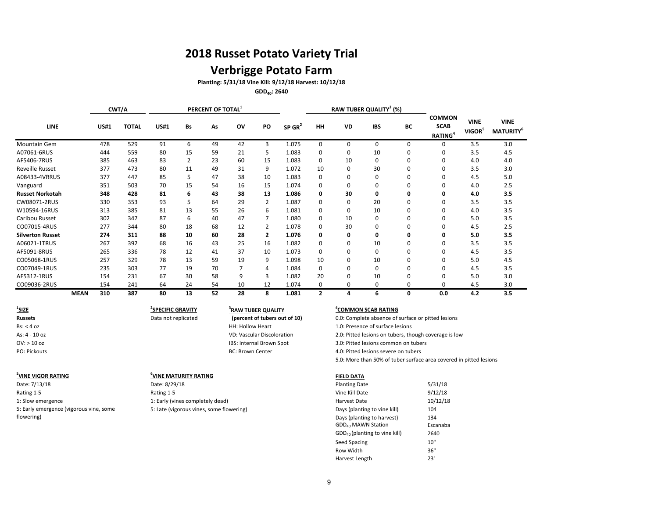## **Verbrigge Potato Farm**

**Planting: 5/31/18 Vine Kill: 9/12/18 Harvest: 10/12/18**

**GDD40: 2640**

|                         |             |             | CWT/A        |             |           | PERCENT OF TOTAL <sup>1</sup> |    |                |                      |              |           | RAW TUBER QUALITY <sup>3</sup> (%) |          |                                                     |                                   |                                      |
|-------------------------|-------------|-------------|--------------|-------------|-----------|-------------------------------|----|----------------|----------------------|--------------|-----------|------------------------------------|----------|-----------------------------------------------------|-----------------------------------|--------------------------------------|
| <b>LINE</b>             |             | <b>US#1</b> | <b>TOTAL</b> | <b>US#1</b> | <b>Bs</b> | As                            | ov | PO             | $SP$ GR <sup>2</sup> | HH           | <b>VD</b> | <b>IBS</b>                         | ВC       | <b>COMMON</b><br><b>SCAB</b><br>RATING <sup>4</sup> | <b>VINE</b><br>VIGOR <sup>5</sup> | <b>VINE</b><br>MATURITY <sup>6</sup> |
| Mountain Gem            |             | 478         | 529          | 91          | 6         | 49                            | 42 | 3              | 1.075                | 0            | 0         | $\Omega$                           | 0        | 0                                                   | 3.5                               | 3.0                                  |
| A07061-6RUS             |             | 444         | 559          | 80          | 15        | 59                            | 21 | 5              | 1.083                | 0            | 0         | 10                                 | 0        | 0                                                   | 3.5                               | 4.5                                  |
| AF5406-7RUS             |             | 385         | 463          | 83          | 2         | 23                            | 60 | 15             | 1.083                | 0            | 10        | 0                                  | 0        | 0                                                   | 4.0                               | 4.0                                  |
| <b>Reveille Russet</b>  |             | 377         | 473          | 80          | 11        | 49                            | 31 | 9              | 1.072                | 10           | 0         | 30                                 | 0        | 0                                                   | 3.5                               | 3.0                                  |
| A08433-4VRRUS           |             | 377         | 447          | 85          | 5         | 47                            | 38 | 10             | 1.083                | 0            | 0         | 0                                  | O        | 0                                                   | 4.5                               | 5.0                                  |
| Vanguard                |             | 351         | 503          | 70          | 15        | 54                            | 16 | 15             | 1.074                | 0            | 0         | 0                                  | O        |                                                     | 4.0                               | 2.5                                  |
| <b>Russet Norkotah</b>  |             | 348         | 428          | 81          | 6         | 43                            | 38 | 13             | 1.086                | 0            | 30        | 0                                  | 0        |                                                     | 4.0                               | 3.5                                  |
| CW08071-2RUS            |             | 330         | 353          | 93          | 5         | 64                            | 29 | 2              | 1.087                | 0            | 0         | 20                                 | 0        | 0                                                   | 3.5                               | 3.5                                  |
| W10594-16RUS            |             | 313         | 385          | 81          | 13        | 55                            | 26 | 6              | 1.081                | 0            | 0         | 10                                 | 0        | 0                                                   | 4.0                               | 3.5                                  |
| Caribou Russet          |             | 302         | 347          | 87          | 6         | 40                            | 47 | 7              | 1.080                | 0            | 10        | 0                                  | ŋ        | O                                                   | 5.0                               | 3.5                                  |
| CO07015-4RUS            |             | 277         | 344          | 80          | 18        | 68                            | 12 | 2              | 1.078                | 0            | 30        | 0                                  | O        |                                                     | 4.5                               | 2.5                                  |
| <b>Silverton Russet</b> |             | 274         | 311          | 88          | 10        | 60                            | 28 | $\overline{2}$ | 1.076                | 0            | 0         | 0                                  | 0        |                                                     | 5.0                               | 3.5                                  |
| A06021-1TRUS            |             | 267         | 392          | 68          | 16        | 43                            | 25 | 16             | 1.082                | 0            | 0         | 10                                 | 0        | O                                                   | 3.5                               | 3.5                                  |
| AF5091-8RUS             |             | 265         | 336          | 78          | 12        | 41                            | 37 | 10             | 1.073                | 0            | 0         | $\Omega$                           | $\Omega$ | 0                                                   | 4.5                               | 3.5                                  |
| CO05068-1RUS            |             | 257         | 329          | 78          | 13        | 59                            | 19 | 9              | 1.098                | 10           | 0         | 10                                 | 0        | $\Omega$                                            | 5.0                               | 4.5                                  |
| CO07049-1RUS            |             | 235         | 303          | 77          | 19        | 70                            |    | 4              | 1.084                | 0            | 0         | $\Omega$                           | 0        |                                                     | 4.5                               | 3.5                                  |
| AF5312-1RUS             |             | 154         | 231          | 67          | 30        | 58                            | 9  | 3              | 1.082                | 20           | 0         | 10                                 | 0        |                                                     | 5.0                               | 3.0                                  |
| CO09036-2RUS            |             | 154         | 241          | 64          | 24        | 54                            | 10 | 12             | 1.074                | 0            | 0         | 0                                  | $\Omega$ | $\Omega$                                            | 4.5                               | 3.0                                  |
|                         | <b>MEAN</b> | 310         | 387          | 80          | 13        | 52                            | 28 | 8              | 1.081                | $\mathbf{2}$ | 4         | 6                                  | 0        | 0.0                                                 | 4.2                               | 3.5                                  |

| $\frac{1}{2}$ SIZE | <sup>2</sup> SPECIFIC GRAVITY |
|--------------------|-------------------------------|
| <b>Russets</b>     | Data not replicated           |

| <sup>5</sup> VINE VIGOR RATING          | 6 |
|-----------------------------------------|---|
| Date: 7/13/18                           |   |
| Rating 1-5                              | F |
| 1: Slow emergence                       | 1 |
| 5: Early emergence (vigorous vine, some | д |
| flowering)                              |   |

## **SPECIFIC GRAVITY <sup>4</sup> 3 RAW TUBER QUALITY** As: 4 - 10 oz VD: Vascular Discoloration **(percent of tubers out of 10)**

#### **VINE MATURITY RATING FIELD DATA**

#### **COMMON SCAB RATING**

HH: Hollow Heart 1.0: Presence of surface lesions IBS: Internal Brown Spot 3.0: Pitted lesions common on tubers PO: Pickouts BC: Brown Center 4.0: Pitted lesions severe on tubers 5.0: More than 50% of tuber surface area covered in pitted lesions 0.0: Complete absence of surface or pitted lesions 2.0: Pitted lesions on tubers, though coverage is low

| *****************************           | "                                        |                                 |          |
|-----------------------------------------|------------------------------------------|---------------------------------|----------|
| Date: 7/13/18                           | Date: 8/29/18                            | <b>Planting Date</b>            | 5/31/18  |
| Rating 1-5                              | Rating 1-5                               | Vine Kill Date                  | 9/12/18  |
| 1: Slow emergence                       | 1: Early (vines completely dead)         | Harvest Date                    | 10/12/18 |
| 5: Early emergence (vigorous vine, some | 5: Late (vigorous vines, some flowering) | Days (planting to vine kill)    | 104      |
| flowering)                              |                                          | Days (planting to harvest)      | 134      |
|                                         |                                          | GDD <sub>40</sub> MAWN Station  | Escanaba |
|                                         |                                          | $GDD40$ (planting to vine kill) | 2640     |
|                                         |                                          | Seed Spacing                    | 10"      |
|                                         |                                          | Row Width                       | 36"      |
|                                         |                                          | Harvest Length                  | 23'      |
|                                         |                                          |                                 |          |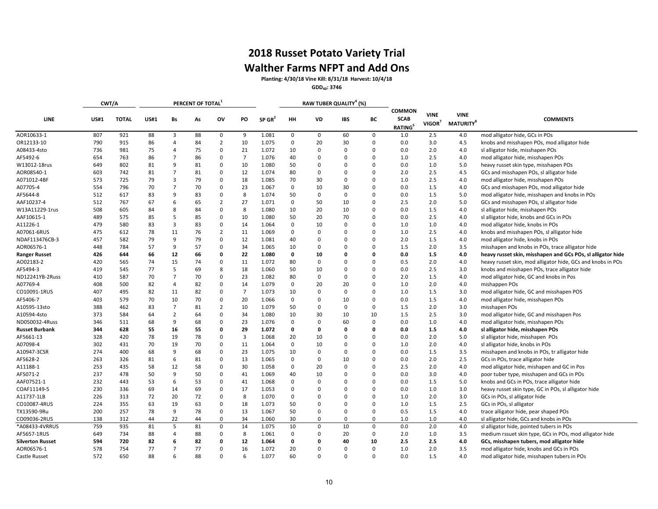## **2018 Russet Potato Variety Trial Walther Farms NFPT and Add Ons**

**Planting: 4/30/18 Vine Kill: 8/31/18 Harvest: 10/4/18**

**GDD40: 3746**

|                         |             | CWT/A        |             |                | PERCENT OF TOTAL |                |                |                      |             |              | RAW TUBER QUALITY <sup>4</sup> (%) |             |                                                     |                                   |                                             |                                                             |
|-------------------------|-------------|--------------|-------------|----------------|------------------|----------------|----------------|----------------------|-------------|--------------|------------------------------------|-------------|-----------------------------------------------------|-----------------------------------|---------------------------------------------|-------------------------------------------------------------|
| <b>LINE</b>             | <b>US#1</b> | <b>TOTAL</b> | <b>US#1</b> | Bs             | As               | OV             | PO             | $SP$ GR <sup>2</sup> | HH          | VD           | <b>IBS</b>                         | ВC          | <b>COMMON</b><br><b>SCAB</b><br>RATING <sup>5</sup> | <b>VINE</b><br>VIGOR <sup>7</sup> | <b>VINE</b><br><b>MATURITY</b> <sup>8</sup> | <b>COMMENTS</b>                                             |
| AOR10633-1              | 807         | 921          | 88          | 3              | 88               | 0              | 9              | 1.081                | $\mathbf 0$ | $\mathbf{0}$ | 60                                 | 0           | 1.0                                                 | 2.5                               | 4.0                                         | mod alligator hide, GCs in POs                              |
| OR12133-10              | 790         | 915          | 86          | $\overline{4}$ | 84               | $\overline{2}$ | 10             | 1.075                | 0           | 20           | 30                                 | $\mathbf 0$ | 0.0                                                 | 3.0                               | 4.5                                         | knobs and misshapen POs, mod alligator hide                 |
| A08433-4sto             | 736         | 981          | 75          | $\overline{4}$ | 75               | $\mathbf 0$    | 21             | 1.072                | 10          | $\mathbf 0$  | $\Omega$                           | $\Omega$    | 0.0                                                 | 2.0                               | 4.0                                         | sl alligator hide, misshapen POs                            |
| AF5492-6                | 654         | 763          | 86          | $\overline{7}$ | 86               | $\mathbf 0$    | $\overline{7}$ | 1.076                | 40          | 0            | $\Omega$                           | 0           | 1.0                                                 | 2.5                               | 4.0                                         | mod alligator hide, misshapen POs                           |
| W13012-18rus            | 649         | 802          | 81          | 9              | 81               | $\mathbf 0$    | 10             | 1.080                | 50          | $\Omega$     | $\Omega$                           | 0           | 0.0                                                 | 1.0                               | 5.0                                         | heavy russet skin type, misshapen POs                       |
| AOR08540-1              | 603         | 742          | 81          | $\overline{7}$ | 81               | $\mathbf 0$    | 12             | 1.074                | 80          | $\mathbf 0$  | $\Omega$                           | 0           | 2.0                                                 | 2.5                               | 4.5                                         | GCs and misshapen POs, sl alligator hide                    |
| A071012-4BF             | 573         | 725          | 79          | 3              | 79               | $\mathbf 0$    | 18             | 1.085                | 70          | 30           | $\Omega$                           | 0           | 1.0                                                 | 2.5                               | 4.0                                         | mod alligator hide, misshapen POs                           |
| A07705-4                | 554         | 796          | 70          | $\overline{7}$ | 70               | 0              | 23             | 1.067                | 0           | 10           | 30                                 | 0           | 0.0                                                 | 1.5                               | 4.0                                         | GCs and misshapen POs, mod alligator hide                   |
| AF5644-8                | 512         | 617          | 83          | 9              | 83               | $\mathbf 0$    | 8              | 1.074                | 50          | $\mathbf 0$  | $\Omega$                           | $\Omega$    | 0.0                                                 | 1.5                               | 5.0                                         | mod alligator hide, misshapen and knobs in POs              |
| AAF10237-4              | 512         | 767          | 67          | 6              | 65               | $\overline{2}$ | 27             | 1.071                | $\mathbf 0$ | 50           | 10                                 | 0           | 2.5                                                 | 2.0                               | 5.0                                         | GCs and misshapen POs, sl alligator hide                    |
| W13A11229-1rus          | 508         | 605          | 84          | 8              | 84               | $\mathbf 0$    | 8              | 1.080                | 10          | 20           | 10                                 | $\mathbf 0$ | 0.0                                                 | 1.5                               | 4.0                                         | sl alligator hide, misshapen POs                            |
| AAF10615-1              | 489         | 575          | 85          | 5              | 85               | $\mathbf 0$    | 10             | 1.080                | 50          | 20           | 70                                 | $\Omega$    | 0.0                                                 | 2.5                               | 4.0                                         | sl alligator hide, knobs and GCs in POs                     |
| A11226-1                | 479         | 580          | 83          | 3              | 83               | $\mathbf 0$    | 14             | 1.064                | $\mathbf 0$ | 10           | $\Omega$                           | $\Omega$    | 1.0                                                 | 1.0                               | 4.0                                         | mod alligator hide, knobs in POs                            |
| A07061-6RUS             | 475         | 612          | 78          | 11             | 76               | $\overline{2}$ | 11             | 1.069                | $\Omega$    | $\mathbf 0$  | $\Omega$                           | O           | 1.0                                                 | 2.5                               | 4.0                                         | knobs and misshapen POs, sl alligator hide                  |
| NDAF113476CB-3          | 457         | 582          | 79          | 9              | 79               | $\mathbf 0$    | 12             | 1.081                | 40          | $\mathbf 0$  | $\Omega$                           | 0           | 2.0                                                 | 1.5                               | 4.0                                         | mod alligator hide, knobs in POs                            |
| AOR06576-1              | 448         | 784          | 57          | 9              | 57               | $\mathbf 0$    | 34             | 1.065                | 10          | $\mathbf 0$  | $\Omega$                           | 0           | 1.5                                                 | 2.0                               | 3.5                                         | misshapen and knobs in POs, trace alligator hide            |
| <b>Ranger Russet</b>    | 426         | 644          | 66          | 12             | 66               | $\mathbf 0$    | 22             | 1.080                | $\mathbf 0$ | 10           | $\Omega$                           | $\Omega$    | 0.0                                                 | 1.5                               | 4.0                                         | heavy russet skin, misshapen and GCs POs, sl alligator hide |
| AO02183-2               | 420         | 565          | 74          | 15             | 74               | 0              | 11             | 1.072                | 80          | $\mathbf 0$  | $\Omega$                           | 0           | 0.5                                                 | 2.0                               | 4.0                                         | heavy russet skin, mod alligator hide, GCs and knobs in POs |
| AF5494-3                | 419         | 545          | 77          | 5              | 69               | 8              | 18             | 1.060                | 50          | 10           | $\Omega$                           | $\Omega$    | 0.0                                                 | 2.5                               | 3.0                                         | knobs and misshapen POs, trace alligator hide               |
| ND12241YB-2Russ         | 410         | 587          | 70          | $\overline{7}$ | 70               | $\mathbf 0$    | 23             | 1.082                | 80          | $\mathbf 0$  | $\Omega$                           | $\Omega$    | 2.0                                                 | 1.5                               | 4.0                                         | mod alligator hide, GC and knobs in Pos                     |
| A07769-4                | 408         | 500          | 82          | $\overline{4}$ | 82               | $\mathbf 0$    | 14             | 1.079                | $\mathbf 0$ | 20           | 20                                 | $\Omega$    | 1.0                                                 | 2.0                               | 4.0                                         | mishappen POs                                               |
| CO10091-1RUS            | 407         | 495          | 82          | 11             | 82               | $\mathbf 0$    | $\overline{7}$ | 1.073                | 10          | $\mathbf 0$  | $\Omega$                           | $\Omega$    | 1.0                                                 | 1.5                               | 3.0                                         | mod alligator hide, GC and misshapen POS                    |
| AF5406-7                | 403         | 579          | 70          | 10             | 70               | $\mathbf 0$    | 20             | 1.066                | $\mathbf 0$ | $\mathbf 0$  | 10                                 | $\Omega$    | 0.0                                                 | 1.5                               | 4.0                                         | mod alligator hide, misshapen POs                           |
| A10595-13sto            | 388         | 462          | 83          | $\overline{7}$ | 81               | $\overline{2}$ | 10             | 1.079                | 50          | $\mathbf 0$  | $\Omega$                           | $\mathbf 0$ | 1.5                                                 | 2.0                               | 3.0                                         | misshapen POs                                               |
| A10594-4sto             | 373         | 584          | 64          | $\overline{2}$ | 64               | $\mathbf 0$    | 34             | 1.080                | 10          | 30           | 10                                 | 10          | 1.5                                                 | 2.5                               | 3.0                                         | mod alligator hide, GC and misshapen Pos                    |
| ND050032-4Russ          | 346         | 511          | 68          | 9              | 68               | $\mathbf 0$    | 23             | 1.076                | $\Omega$    | $\Omega$     | 60                                 | $\mathbf 0$ | 0.0                                                 | 1.0                               | 4.0                                         | mod alligator hide, misshapen POs                           |
| <b>Russet Burbank</b>   | 344         | 628          | 55          | 16             | 55               | 0              | 29             | 1.072                | $\Omega$    | 0            | $\Omega$                           | $\Omega$    | 0.0                                                 | 1.5                               | 4.0                                         | sl alligator hide, misshapen POs                            |
| AF5661-13               | 328         | 420          | 78          | 19             | 78               | $\mathbf 0$    | 3              | 1.068                | 20          | 10           | $\Omega$                           | 0           | 0.0                                                 | 2.0                               | 5.0                                         | sl alligator hide, misshapen POs                            |
| A07098-4                | 302         | 431          | 70          | 19             | 70               | $\mathbf 0$    | 11             | 1.064                | 0           | 10           | $\Omega$                           | 0           | 1.0                                                 | 2.0                               | 4.0                                         | sl alligator hide, knobs in POs                             |
| A10947-3CSR             | 274         | 400          | 68          | 9              | 68               | $\mathbf 0$    | 23             | 1.075                | 10          | $\mathbf 0$  | $\Omega$                           | 0           | 0.0                                                 | 1.5                               | 3.5                                         | misshapen and knobs in POs, tr alligator hide               |
| AF5628-2                | 263         | 326          | 81          | 6              | 81               | $\mathbf 0$    | 13             | 1.065                | $\mathbf 0$ | $\mathbf 0$  | 10                                 | $\Omega$    | 0.0                                                 | 2.0                               | 2.5                                         | GCs in POs, trace alligator hide                            |
| A11188-1                | 253         | 435          | 58          | 12             | 58               | $\mathbf 0$    | 30             | 1.058                | 0           | 20           | $\Omega$                           | $\Omega$    | 2.5                                                 | 2.0                               | 4.0                                         | mod alligator hide, mishapen and GC in Pos                  |
| AF5071-2                | 237         | 478          | 50          | 9              | 50               | $\mathbf 0$    | 41             | 1.069                | 40          | 10           | $\Omega$                           | $\Omega$    | 0.0                                                 | 3.0                               | 4.0                                         | poor tuber type, misshapen and GCs in POs                   |
| AAF07521-1              | 232         | 443          | 53          | 6              | 53               | $\mathbf 0$    | 41             | 1.068                | $\Omega$    | $\mathbf 0$  | $\Omega$                           | 0           | 0.0                                                 | 1.5                               | 5.0                                         | knobs and GCs in POs, trace alligator hide                  |
| COAF11149-5             | 230         | 336          | 69          | 14             | 69               | $\mathbf 0$    | 17             | 1.053                | $\Omega$    | $\mathbf 0$  | $\Omega$                           | 0           | 0.0                                                 | 1.0                               | 3.0                                         | heavy russet skin type, GC in POs, sl alligator hide        |
| A11737-1LB              | 226         | 313          | 72          | 20             | 72               | $\mathbf 0$    | 8              | 1.070                | $\Omega$    | $\Omega$     | $\Omega$                           | O           | 1.0                                                 | 2.0                               | 3.0                                         | GCs in POs, sl alligator hide                               |
| CO10087-4RUS            | 224         | 355          | 63          | 19             | 63               | $\mathbf 0$    | 18             | 1.073                | 50          | $\Omega$     | $\Omega$                           | $\Omega$    | 1.0                                                 | 1.5                               | 2.5                                         | GCs in POs, sl alligator                                    |
| TX13590-9Ru             | 200         | 257          | 78          | 9              | 78               | $\mathbf 0$    | 13             | 1.067                | 50          | $\mathbf 0$  | $\Omega$                           | $\mathbf 0$ | 0.5                                                 | 1.5                               | 4.0                                         | trace alligator hide, pear shaped POs                       |
| CO09036-2RUS            | 138         | 312          | 44          | 22             | 44               | $\mathbf 0$    | 34             | 1.060                | 30          | $\mathbf 0$  | $\mathbf 0$                        | 0           | 1.0                                                 | 1.0                               | 4.0                                         | sl alligator hide, GCs and knobs in POs                     |
| *A08433-4VRRUS          | 759         | 935          | 81          | 5              | 81               | $\mathbf 0$    | 14             | 1.075                | 10          | $\mathbf 0$  | 10                                 | 0           | 0.0                                                 | 2.0                               | 4.0                                         | sl alligator hide, pointed tubers in POs                    |
| AF5657-1RUS             | 649         | 734          | 88          | 4              | 88               | 0              | 8              | 1.061                | $\Omega$    | 0            | 20                                 | $\Omega$    | 2.0                                                 | 1.0                               | 3.5                                         | medium rssuet skin type, GCs in POs, mod alligator hide     |
| <b>Silverton Russet</b> | 594         | 720          | 82          | 6              | 82               | $\mathbf 0$    | 12             | 1.064                | 0           | 0            | 40                                 | 10          | 2.5                                                 | 2.5                               | 4.0                                         | GCs, misshapen tubers, mod alligator hide                   |
| AOR06576-1              | 578         | 754          | 77          | $\overline{7}$ | 77               | $\mathbf 0$    | 16             | 1.072                | 20          | 0            | $\Omega$                           | $\Omega$    | 1.0                                                 | 2.0                               | 3.5                                         | mod alligator hide, knobs and GCs in POs                    |
| Castle Russet           | 572         | 650          | 88          | 6              | 88               | $\mathbf 0$    | 6              | 1.077                | 60          | $\Omega$     | $\Omega$                           | $\Omega$    | 0.0                                                 | 1.5                               | 4.0                                         | mod alligator hide, misshapen tubers in POs                 |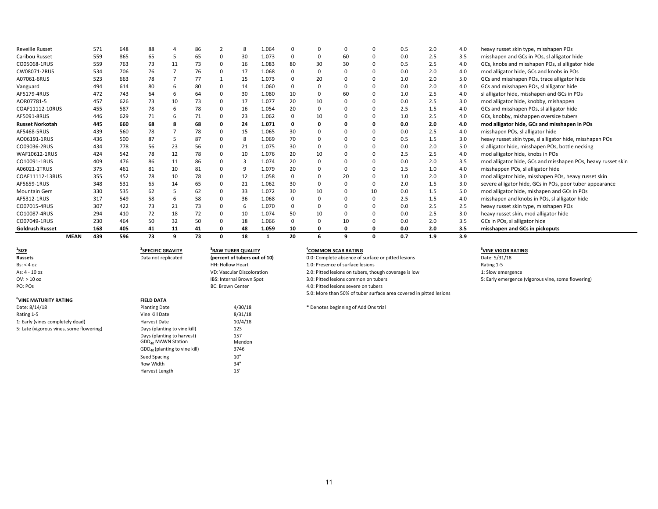| <b>Reveille Russet</b> | 571                | 648 | 88 |    | 86 |          | 8  | 1.064 | $\Omega$ | $\Omega$    |    |    | 0.5 | 2.0 | 4.0 | heavy russet skin type, misshapen POs                        |
|------------------------|--------------------|-----|----|----|----|----------|----|-------|----------|-------------|----|----|-----|-----|-----|--------------------------------------------------------------|
| Caribou Russet         | 559                | 865 | 65 | 5  | 65 | 0        | 30 | 1.073 | 0        | 0           | 60 |    | 0.0 | 2.5 | 3.5 | misshapen and GCs in POs, sl alligator hide                  |
| CO05068-1RUS           | 559                | 763 | 73 | 11 | 73 |          | 16 | 1.083 | 80       | 30          | 30 |    | 0.5 | 2.5 | 4.0 | GCs, knobs and misshapen POs, sl alligator hide              |
| CW08071-2RUS           | 534                | 706 | 76 |    | 76 |          | 17 | 1.068 |          | 0           |    |    | 0.0 | 2.0 | 4.0 | mod alligator hide, GCs and knobs in POs                     |
| A07061-6RUS            | 523                | 663 | 78 |    | 77 |          | 15 | 1.073 | 0        | 20          |    |    | 1.0 | 2.0 | 5.0 | GCs and misshapen POs, trace alligator hide                  |
| Vanguard               | 494                | 614 | 80 | 6  | 80 |          | 14 | 1.060 | 0        | $\mathbf 0$ |    |    | 0.0 | 2.0 | 4.0 | GCs and misshapen POs, sl alligator hide                     |
| AF5179-4RUS            | 472                | 743 | 64 | 6  | 64 |          | 30 | 1.080 | 10       | 0           | 60 |    | 1.0 | 2.5 | 4.0 | sl alligator hide, misshapen and GCs in POs                  |
| AOR07781-5             | 457                | 626 | 73 | 10 | 73 |          | 17 | 1.077 | 20       | 10          |    |    | 0.0 | 2.5 | 3.0 | mod alligator hide, knobby, mishappen                        |
| COAF11112-10RUS        | 455                | 587 | 78 | 6  | 78 |          | 16 | 1.054 | 20       | 0           |    |    | 2.5 | 1.5 | 4.0 | GCs and misshapen POs, sl alligator hide                     |
| AF5091-8RUS            | 446                | 629 | 71 | 6  | 71 | $\Omega$ | 23 | 1.062 | 0        | 10          |    |    | 1.0 | 2.5 | 4.0 | GCs, knobby, mishappen oversize tubers                       |
| <b>Russet Norkotah</b> | 445                | 660 | 68 | 8  | 68 |          | 24 | 1.071 |          | 0           |    |    | 0.0 | 2.0 | 4.0 | mod alligator hide, GCs and misshapen in POs                 |
| AF5468-5RUS            | 439                | 560 | 78 |    | 78 |          | 15 | 1.065 | 30       | 0           |    |    | 0.0 | 2.5 | 4.0 | misshapen POs, sl alligator hide                             |
| AO06191-1RUS           | 436                | 500 | 87 |    | 87 |          | 8  | 1.069 | 70       | 0           |    |    | 0.5 | 1.5 | 3.0 | heavy russet skin type, sl alligator hide, misshapen POs     |
| CO09036-2RUS           | 434                | 778 | 56 | 23 | 56 |          | 21 | 1.075 | 30       | $\mathbf 0$ |    |    | 0.0 | 2.0 | 5.0 | sl alligator hide, misshapen POs, bottle necking             |
| WAF10612-1RUS          | 424                | 542 | 78 | 12 | 78 | $\Omega$ | 10 | 1.076 | 20       | 10          |    |    | 2.5 | 2.5 | 4.0 | mod alligator hide, knobs in POs                             |
| CO10091-1RUS           | 409                | 476 | 86 | 11 | 86 |          | -3 | 1.074 | 20       | $\mathbf 0$ |    |    | 0.0 | 2.0 | 3.5 | mod alligator hide, GCs and misshapen POs, heavy russet skin |
| A06021-1TRUS           | 375                | 461 | 81 | 10 | 81 |          | 9  | 1.079 | 20       | 0           |    |    | 1.5 | 1.0 | 4.0 | misshappen POs, sl alligator hide                            |
| COAF11112-13RUS        | 355                | 452 | 78 | 10 | 78 |          | 12 | 1.058 | 0        | $\mathbf 0$ | 20 |    | 1.0 | 2.0 | 3.0 | mod alligator hide, misshapen POs, heavy russet skin         |
| AF5659-1RUS            | 348                | 531 | 65 | 14 | 65 |          | 21 | 1.062 | 30       | $\mathbf 0$ |    |    | 2.0 | 1.5 | 3.0 | severe alligator hide, GCs in POs, poor tuber appearance     |
| <b>Mountain Gem</b>    | 330                | 535 | 62 | 5  | 62 |          | 33 | 1.072 | 30       | 10          |    | 10 | 0.0 | 1.5 | 5.0 | mod alligator hide, mishapen and GCs in POs                  |
| AF5312-1RUS            | 317                | 549 | 58 | 6  | 58 |          | 36 | 1.068 | 0        | $\mathbf 0$ |    |    | 2.5 | 1.5 | 4.0 | misshapen and knobs in POs, sl alligator hide                |
| CO07015-4RUS           | 307                | 422 | 73 | 21 | 73 |          | -6 | 1.070 | 0        | $\mathbf 0$ |    |    | 0.0 | 2.5 | 2.5 | heavy russet skin type, misshapen POs                        |
| CO10087-4RUS           | 294                | 410 | 72 | 18 | 72 |          | 10 | 1.074 | 50       | 10          |    |    | 0.0 | 2.5 | 3.0 | heavy russet skin, mod alligator hide                        |
| CO07049-1RUS           | 230                | 464 | 50 | 32 | 50 |          | 18 | 1.066 | $\Omega$ | 0           | 10 |    | 0.0 | 2.0 | 3.5 | GCs in POs, sl alligator hide                                |
| <b>Goldrush Russet</b> | 168                | 405 | 41 | 11 | 41 |          | 48 | 1.059 | 10       | 0           |    |    | 0.0 | 2.0 | 3.5 | misshapen and GCs in pickoputs                               |
|                        | 439<br><b>MEAN</b> | 596 | 73 | 9  | 73 |          | 18 |       | 20       | 6           | 9  |    | 0.7 | 1.9 | 3.9 |                                                              |

| $^{\prime}$ SIZE                         | <b>SPECIFIC GRAVITY</b>                                      | <b>RAW TUBER QUALITY</b>          | "COMMON SCAB RATING                                                | <sup>3</sup> VINE VIGOR RATII |
|------------------------------------------|--------------------------------------------------------------|-----------------------------------|--------------------------------------------------------------------|-------------------------------|
| <b>Russets</b>                           | Data not replicated                                          | (percent of tubers out of 10)     | 0.0: Complete absence of surface or pitted lesions                 | Date: 5/31/18                 |
| Bs: < 4 oz                               |                                                              | HH: Hollow Heart                  | 1.0: Presence of surface lesions                                   | Rating 1-5                    |
| As: 4 - 10 oz                            |                                                              | <b>VD: Vascular Discoloration</b> | 2.0: Pitted lesions on tubers, though coverage is low              | 1: Slow emergence             |
| $OV:$ > 10 oz                            |                                                              | IBS: Internal Brown Spot          | 3.0: Pitted lesions common on tubers                               | 5: Early emergence            |
| PO: POs                                  |                                                              | <b>BC: Brown Center</b>           | 4.0: Pitted lesions severe on tubers                               |                               |
|                                          |                                                              |                                   | 5.0: More than 50% of tuber surface area covered in pitted lesions |                               |
| VINE MATURITY RATING                     | <b>FIELD DATA</b>                                            |                                   |                                                                    |                               |
| Date: 8/14/18                            | <b>Planting Date</b>                                         | 4/30/18                           | * Denotes beginning of Add Ons trial                               |                               |
| Rating 1-5                               | Vine Kill Date                                               | 8/31/18                           |                                                                    |                               |
| 1: Early (vines completely dead)         | Harvest Date                                                 | 10/4/18                           |                                                                    |                               |
| 5: Late (vigorous vines, some flowering) | Days (planting to vine kill)                                 | 123                               |                                                                    |                               |
|                                          | Days (planting to harvest)<br>GDD <sub>40</sub> MAWN Station | 157<br>Mendon                     |                                                                    |                               |
|                                          | $GDD40$ (planting to vine kill)                              | 3746                              |                                                                    |                               |
|                                          | Seed Spacing                                                 | 10"                               |                                                                    |                               |
|                                          | Row Width                                                    | 34"                               |                                                                    |                               |

Harvest Length

Row Width 34"<br>
Harvest Length 15"

| 0.0: Complete absence of surface or pitted lesions                 |
|--------------------------------------------------------------------|
|                                                                    |
| 1.0: Presence of surface lesions                                   |
| 2.0: Pitted lesions on tubers, though coverage is low              |
| 3.0: Pitted lesions common on tubers                               |
| 4.0: Pitted lesions severe on tubers                               |
| 5.0: More than 50% of tuber surface area covered in pitted lesions |

**SUINE VIGOR RATING**<br>Date: 5/31/18 5: Early emergence (vigorous vine, some flowering)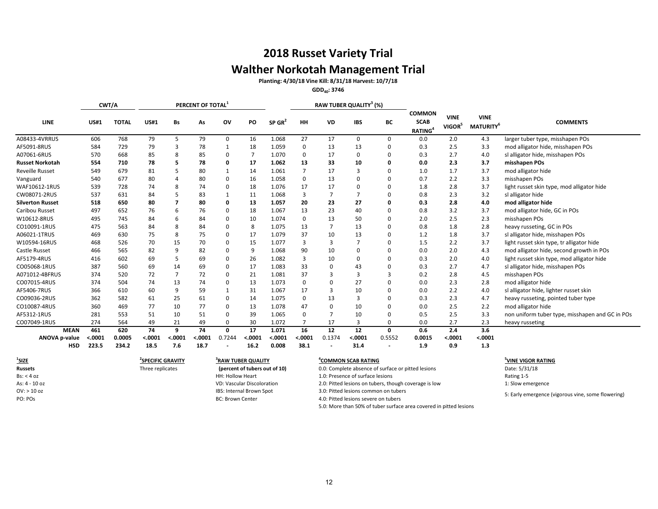## **2018 Russet Variety Trial Walther Norkotah Management Trial Planting: 4/30/18 Vine Kill: 8/31/18 Harvest: 10/7/18**

**GDD40: 3746**

|                             | CWT/A             |                 |                               |                | PERCENT OF TOTAL |                                |                 |                      |                  |                 | RAW TUBER QUALITY <sup>3</sup> (%) |              |                                                     |                                   |                                      |                                                 |
|-----------------------------|-------------------|-----------------|-------------------------------|----------------|------------------|--------------------------------|-----------------|----------------------|------------------|-----------------|------------------------------------|--------------|-----------------------------------------------------|-----------------------------------|--------------------------------------|-------------------------------------------------|
| <b>LINE</b>                 | <b>US#1</b>       | <b>TOTAL</b>    | <b>US#1</b>                   | Bs             | As               | OV                             | PO              | $SP$ GR <sup>2</sup> | HH               | VD              | <b>IBS</b>                         | ВC           | <b>COMMON</b><br><b>SCAB</b><br>RATING <sup>4</sup> | <b>VINE</b><br>VIGOR <sup>5</sup> | <b>VINE</b><br>MATURITY <sup>6</sup> | <b>COMMENTS</b>                                 |
| A08433-4VRRUS               | 606               | 768             | 79                            | 5              | 79               | 0                              | 16              | 1.068                | 27               | 17              | 0                                  | 0            | 0.0                                                 | 2.0                               | 4.3                                  | larger tuber type, misshapen POs                |
| AF5091-8RUS                 | 584               | 729             | 79                            | 3              | 78               |                                | 18              | 1.059                | $\mathbf 0$      | 13              | 13                                 | 0            | 0.3                                                 | 2.5                               | 3.3                                  | mod alligator hide, misshapen POs               |
| A07061-6RUS                 | 570               | 668             | 85                            | 8              | 85               | $\Omega$                       | $\overline{7}$  | 1.070                | $\Omega$         | 17              | $\Omega$                           | 0            | 0.3                                                 | 2.7                               | 4.0                                  | sl alligator hide, misshapen POs                |
| <b>Russet Norkotah</b>      | 554               | 710             | 78                            |                | 78               |                                | 17              | 1.062                | 13               | 33              | 10                                 | 0            | 0.0                                                 | 2.3                               | 3.7                                  | misshapen POs                                   |
| <b>Reveille Russet</b>      | 549               | 679             | 81                            |                | 80               |                                | 14              | 1.061                | 7                | 17              | 3                                  | $\Omega$     | 1.0                                                 | 1.7                               | 3.7                                  | mod alligator hide                              |
| Vanguard                    | 540               | 677             | 80                            |                | 80               |                                | 16              | 1.058                | 0                | 13              | $\Omega$                           | $\Omega$     | 0.7                                                 | 2.2                               | 3.3                                  | misshapen POs                                   |
| WAF10612-1RUS               | 539               | 728             | 74                            | 8              | 74               | n                              | 18              | 1.076                | 17               | 17              | $\Omega$                           | <sup>0</sup> | 1.8                                                 | 2.8                               | 3.7                                  | light russet skin type, mod alligator hide      |
| CW08071-2RUS                | 537               | 631             | 84                            |                | 83               |                                | 11              | 1.068                | 3                | $\overline{7}$  | $\overline{7}$                     | $\Omega$     | 0.8                                                 | 2.3                               | 3.2                                  | sl alligator hide                               |
| <b>Silverton Russet</b>     | 518               | 650             | 80                            |                | 80               |                                | 13              | 1.057                | 20               | 23              | 27                                 | 0            | 0.3                                                 | 2.8                               | 4.0                                  | mod alligator hide                              |
| Caribou Russet              | 497               | 652             | 76                            | 6              | 76               | 0                              | 18              | 1.067                | 13               | 23              | 40                                 | 0            | 0.8                                                 | 3.2                               | 3.7                                  | mod alligator hide, GC in POs                   |
| W10612-8RUS                 | 495               | 745             | 84                            | 6              | 84               | $\Omega$                       | 10              | 1.074                | 0                | 13              | 50                                 | $\Omega$     | 2.0                                                 | 2.5                               | 2.3                                  | misshapen POs                                   |
| CO10091-1RUS                | 475               | 563             | 84                            | 8              | 84               | $\Omega$                       | 8               | 1.075                | 13               |                 | 13                                 | $\Omega$     | 0.8                                                 | 1.8                               | 2.8                                  | heavy russeting, GC in POs                      |
| A06021-1TRUS                | 469               | 630             | 75                            | 8              | 75               |                                | 17              | 1.079                | 37               | 10              | 13                                 | 0            | 1.2                                                 | 1.8                               | 3.7                                  | sl alligator hide, misshapen POs                |
| W10594-16RUS                | 468               | 526             | 70                            | 15             | 70               | <sup>0</sup>                   | 15              | 1.077                | 3                | 3               | $\overline{7}$                     | $\Omega$     | 1.5                                                 | 2.2                               | 3.7                                  | light russet skin type, tr alligator hide       |
| Castle Russet               | 466               | 565             | 82                            | 9              | 82               |                                | 9               | 1.068                | 90               | 10              | $\Omega$                           | 0            | 0.0                                                 | 2.0                               | 4.3                                  | mod alligator hide, second growth in POs        |
| AF5179-4RUS                 | 416               | 602             | 69                            | 5              | 69               | $\Omega$                       | 26              | 1.082                | 3                | 10              | $\Omega$                           | <sup>0</sup> | 0.3                                                 | 2.0                               | 4.0                                  | light russet skin type, mod alligator hide      |
| CO05068-1RUS                | 387               | 560             | 69                            | 14             | 69               |                                | 17              | 1.083                | 33               | $\Omega$        | 43                                 | 0            | 0.3                                                 | 2.7                               | 4.7                                  | sl alligator hide, misshapen POs                |
| A071012-4BFRUS              | 374               | 520             | 72                            | $\overline{7}$ | 72               | $\Omega$                       | 21              | 1.081                | 37               | 3               | 3                                  | 3            | 0.2                                                 | 2.8                               | 4.5                                  | misshapen POs                                   |
| CO07015-4RUS                | 374               | 504             | 74                            | 13             | 74               | $\Omega$                       | 13              | 1.073                | 0                | $\Omega$        | 27                                 | $\Omega$     | 0.0                                                 | 2.3                               | 2.8                                  | mod alligator hide                              |
| AF5406-7RUS                 | 366               | 610             | 60                            | 9              | 59               |                                | 31              | 1.067                | 17               | 3               | 10                                 | 0            | 0.0                                                 | 2.2                               | 4.0                                  | sl alligator hide, lighter russet skin          |
| CO09036-2RUS                | 362               | 582             | 61                            | 25             | 61               | <sup>0</sup>                   | 14              | 1.075                | 0                | 13              | 3                                  | $\Omega$     | 0.3                                                 | 2.3                               | 4.7                                  | heavy russeting, pointed tuber type             |
| CO10087-4RUS                | 360               | 469             | 77                            | 10             | 77               | $\Omega$                       | 13              | 1.078                | 47               | $\Omega$        | 10                                 | $\Omega$     | 0.0                                                 | 2.5                               | 2.2                                  | mod alligator hide                              |
| AF5312-1RUS                 | 281               | 553             | 51                            | 10             | 51               | 0                              | 39              | 1.065                | $\Omega$         |                 | 10                                 | 0            | 0.5                                                 | 2.5                               | 3.3                                  | non uniform tuber type, misshapen and GC in POs |
| CO07049-1RUS                | 274               | 564             | 49                            | 21             | 49               | $\Omega$                       | 30              | 1.072                | $\overline{7}$   | 17              | 3                                  | $\Omega$     | 0.0                                                 | 2.7                               | 2.3                                  | heavy russeting                                 |
| <b>MEAN</b>                 | 461               | 620             | 74                            | 9              | 74               | $\mathbf{0}$                   | 17              | 1.071                | 16               | $\overline{12}$ | 12                                 | 0            | 0.6                                                 | 2.4                               | 3.6                                  |                                                 |
| ANOVA p-value<br><b>HSD</b> | $-.0001$<br>223.5 | 0.0005<br>234.2 | < .0001<br>18.5               | < .0001<br>7.6 | < .0001<br>18.7  | 0.7244                         | < .0001<br>16.2 | < .0001<br>0.008     | $-.0001$<br>38.1 | 0.1374          | < .0001<br>31.4                    | 0.5552       | 0.0015<br>1.9                                       | < .0001<br>0.9                    | < .0001<br>1.3                       |                                                 |
| $1$ SIZE                    |                   |                 | <sup>2</sup> SPECIFIC GRAVITY |                |                  | <sup>3</sup> RAW TUBER QUALITY |                 |                      |                  |                 | <sup>4</sup> COMMON SCAB RATING    |              |                                                     |                                   |                                      | <sup>5</sup> VINE VIGOR RATING                  |

**1**

**SPECIFIC GRAVITY <sup>4</sup> 3 RAW TUBER QUALITY (percent of tubers out of 10)**

**COMMON SCAB RATING**<br> **EXECUTE:** 5/31/18 Date: 5/31/18 Date: 5/31/18 **Russets** Three replicates **Three replicates Three replicates Case Algercent of tubers out of 10** 0.0: Complete absence of surface or pitted lesions Date: 5/31/18 Bs: < 4 oz **Activation** Heart 1.0: Presence of surface lesions and the state of surface lesions Rating 1-5 As: 4 - 10 oz variation 1: Slow emergence VD: Vascular Discoloration 2.0: Pitted lesions on tubers, though coverage is low 1: Slow emergence OV: > 10 oz IBS: Internal Brown Spot 3.0: Pitted lesions common on tubers PO: POS examples a proportion of the BC: Brown Center and the House of the 4.0: Pitted lesions severe on tubers

5.0: More than 50% of tuber surface area covered in pitted lesions

#### **<sup>5</sup>VINE VIGOR RATING**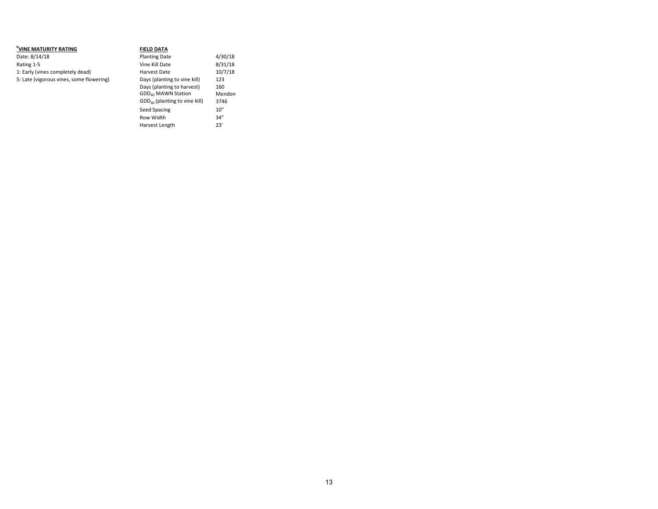| <sup>6</sup> VINE MATURITY RATING        | <b>FIELD DATA</b>                                            |               |
|------------------------------------------|--------------------------------------------------------------|---------------|
| Date: 8/14/18                            | <b>Planting Date</b>                                         | 4/30/18       |
| Rating 1-5                               | Vine Kill Date                                               | 8/31/18       |
| 1: Early (vines completely dead)         | Harvest Date                                                 | 10/7/18       |
| 5: Late (vigorous vines, some flowering) | Days (planting to vine kill)                                 | 123           |
|                                          | Days (planting to harvest)<br>GDD <sub>40</sub> MAWN Station | 160<br>Mendon |
|                                          | $GDD_{40}$ (planting to vine kill)                           | 3746          |
|                                          | Seed Spacing                                                 | 10"           |
|                                          | Row Width                                                    | 34"           |
|                                          | Harvest Length                                               | 23'           |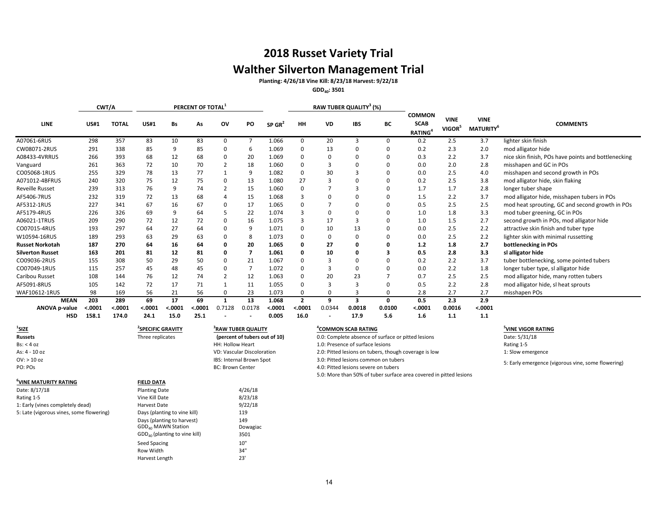## **2018 Russet Variety Trial Walther Silverton Management Trial Planting: 4/26/18 Vine Kill: 8/23/18 Harvest: 9/22/18**

**GDD40: 3501**

|                                            | CWT/A                   |                         |                       |                       | PERCENT OF TOTAL    |          |                |                          |                                   |             | <b>RAW TUBER QUALITY<sup>3</sup> (%)</b> |                    |                                                            |                                   |                                             |                                                     |
|--------------------------------------------|-------------------------|-------------------------|-----------------------|-----------------------|---------------------|----------|----------------|--------------------------|-----------------------------------|-------------|------------------------------------------|--------------------|------------------------------------------------------------|-----------------------------------|---------------------------------------------|-----------------------------------------------------|
| LINE                                       | <b>US#1</b>             | <b>TOTAL</b>            | <b>US#1</b>           | Bs                    | As                  | ov       | PO             | $SP$ GR <sup>2</sup>     | HH                                | <b>VD</b>   | <b>IBS</b>                               | BС                 | <b>COMMON</b><br><b>SCAB</b><br><b>RATING</b> <sup>4</sup> | <b>VINE</b><br>VIGOR <sup>5</sup> | <b>VINE</b><br><b>MATURITY</b> <sup>6</sup> | <b>COMMENTS</b>                                     |
| A07061-6RUS                                | 298                     | 357                     | 83                    | 10                    | 83                  | $\Omega$ | $\overline{7}$ | 1.066                    | 0                                 | 20          | З                                        | 0                  | 0.2                                                        | 2.5                               | 3.7                                         | lighter skin finish                                 |
| CW08071-2RUS                               | 291                     | 338                     | 85                    |                       | 85                  | $\Omega$ | 6              | 1.069                    | 0                                 | 13          | $\Omega$                                 | 0                  | 0.2                                                        | 2.3                               | 2.0                                         | mod alligator hide                                  |
| A08433-4VRRUS                              | 266                     | 393                     | 68                    | 12                    | 68                  | $\Omega$ | 20             | 1.069                    | $\Omega$                          | $\Omega$    | $\Omega$                                 | 0                  | 0.3                                                        | 2.2                               | 3.7                                         | nice skin finish, POs have points and bottlenecking |
| Vanguard                                   | 261                     | 363                     | 72                    | 10                    | 70                  |          | 18             | 1.060                    | $\Omega$                          | 3           | $\Omega$                                 | 0                  | 0.0                                                        | 2.0                               | 2.8                                         | misshapen and GC in POs                             |
| CO05068-1RUS                               | 255                     | 329                     | 78                    | 13                    | 77                  |          | 9              | 1.082                    | $\Omega$                          | 30          |                                          | 0                  | 0.0                                                        | 2.5                               | 4.0                                         | misshapen and second growth in POs                  |
| A071012-4BFRUS                             | 240                     | 320                     | 75                    | 12                    | 75                  | $\Omega$ | 13             | 1.080                    | 27                                |             |                                          | 0                  | 0.2                                                        | 2.5                               | 3.8                                         | mod alligator hide, skin flaking                    |
| <b>Reveille Russet</b>                     | 239                     | 313                     | 76                    | q                     | 74                  |          | 15             | 1.060                    | $\Omega$                          |             |                                          | 0                  | 1.7                                                        | 1.7                               | 2.8                                         | longer tuber shape                                  |
| AF5406-7RUS                                | 232                     | 319                     | 72                    | 13                    | 68                  |          | 15             | 1.068                    | 3                                 | $\Omega$    |                                          | 0                  | 1.5                                                        | 2.2                               | 3.7                                         | mod alligator hide, misshapen tubers in POs         |
| AF5312-1RUS                                | 227                     | 341                     | 67                    | 16                    | 67                  | $\Omega$ | 17             | 1.065                    | $\Omega$                          |             |                                          | 0                  | 0.5                                                        | 2.5                               | 2.5                                         | mod heat sprouting, GC and second growth in POs     |
| AF5179-4RUS                                | 226                     | 326                     | 69                    | 9                     | 64                  |          | 22             | 1.074                    | 3                                 | $\Omega$    | 0                                        | 0                  | 1.0                                                        | 1.8                               | 3.3                                         | mod tuber greening, GC in POs                       |
| A06021-1TRUS                               | 209                     | 290                     | 72                    | 12                    | 72                  | 0        | 16             | 1.075                    | 3                                 | 17          |                                          | 0                  | 1.0                                                        | 1.5                               | 2.7                                         | second growth in POs, mod alligator hide            |
| CO07015-4RUS                               | 193                     | 297                     | 64                    | 27                    | 64                  | - 0      | 9              | 1.071                    | $\Omega$                          | 10          | 13                                       | 0                  | 0.0                                                        | 2.5                               | 2.2                                         | attractive skin finish and tuber type               |
| W10594-16RUS                               | 189                     | 293                     | 63                    | 29                    | 63                  | $\Omega$ | 8              | 1.073                    | 0                                 | 0           | $\Omega$                                 |                    | 0.0                                                        | 2.5                               | 2.2                                         | lighter skin with minimal russetting                |
| <b>Russet Norkotah</b>                     | 187                     | 270                     | 64                    | 16                    | 64                  | 0        | 20             | 1.065                    | 0                                 | 27          |                                          |                    | 1.2                                                        | 1.8                               | 2.7                                         | bottlenecking in POs                                |
| <b>Silverton Russet</b>                    | 163                     | 201                     | 81                    | 12                    | 81                  | - 0      | $\mathbf{7}$   | 1.061                    | 0                                 | 10          | O                                        | 3                  | 0.5                                                        | 2.8                               | 3.3                                         | sl alligator hide                                   |
| CO09036-2RUS                               | 155                     | 308                     | 50                    | 29                    | 50                  | $\Omega$ | 21             | 1.067                    | $\Omega$                          | 3           |                                          | 0                  | 0.2                                                        | 2.2                               | 3.7                                         | tuber bottlenecking, some pointed tubers            |
| CO07049-1RUS                               | 115                     | 257                     | 45                    | 48                    | 45                  | $\Omega$ | $\overline{7}$ | 1.072                    | $\Omega$                          |             | $\Omega$                                 | 0                  | 0.0                                                        | 2.2                               | 1.8                                         | longer tuber type, sl alligator hide                |
| Caribou Russet                             | 108                     | 144                     | 76                    | 12                    | 74                  |          | 12             | 1.063                    | 0                                 | 20          | 23                                       |                    | 0.7                                                        | 2.5                               | 2.5                                         | mod alligator hide, many rotten tubers              |
| AF5091-8RUS                                | 105                     | 142                     | 72                    | 17                    | 71                  |          | 11             | 1.055                    | $\Omega$                          |             |                                          | 0                  | 0.5                                                        | 2.2                               | 2.8                                         | mod alligator hide, sl heat sprouts                 |
| WAF10612-1RUS                              | 98                      | 169                     | 56                    | 21                    | 56                  | 0        | 23             | 1.073                    | 0                                 | 0           | 3                                        | 0                  | 2.8                                                        | 2.7                               | 2.7                                         | misshapen POs                                       |
| <b>MEAN</b><br>ANOVA p-value<br><b>HSD</b> | 203<br>< .0001<br>158.1 | 289<br>< .0001<br>174.0 | 69<br>< .0001<br>24.1 | 17<br>< .0001<br>15.0 | 69<br>.0001<br>25.1 | 0.7128   | 13<br>0.0178   | 1.068<br>0.0001<br>0.005 | $\overline{2}$<br>< .0001<br>16.0 | 9<br>0.0344 | 3<br>0.0018<br>17.9                      | 0<br>0.0100<br>5.6 | 0.5<br>< .0001<br>1.6                                      | 2.3<br>0.0016<br>1.1              | 2.9<br>< .0001<br>1.1                       |                                                     |

| <b>SIZE</b>                              | <b>SPECIFIC GRAVITY</b>         | RAW TUBER QUALITY                 | 'COMMON SCAB RATING                                                | 'VINE VIGOR RATING                                 |  |  |
|------------------------------------------|---------------------------------|-----------------------------------|--------------------------------------------------------------------|----------------------------------------------------|--|--|
| <b>Russets</b>                           | Three replicates                | (percent of tubers out of 10)     | 0.0: Complete absence of surface or pitted lesions                 | Date: 5/31/18                                      |  |  |
| Bs: < 4 oz                               |                                 | HH: Hollow Heart                  | 1.0: Presence of surface lesions                                   | Rating 1-5                                         |  |  |
| As: 4 - 10 oz                            |                                 | <b>VD: Vascular Discoloration</b> | 2.0: Pitted lesions on tubers, though coverage is low              | 1: Slow emergence                                  |  |  |
| $OV:$ > 10 oz                            |                                 | IBS: Internal Brown Spot          | 3.0: Pitted lesions common on tubers                               | 5: Early emergence (vigorous vine, some flowering) |  |  |
| PO: POs                                  |                                 | <b>BC: Brown Center</b>           | 4.0: Pitted lesions severe on tubers                               |                                                    |  |  |
|                                          |                                 |                                   | 5.0: More than 50% of tuber surface area covered in pitted lesions |                                                    |  |  |
| <sup>b</sup> VINE MATURITY RATING        | <b>FIELD DATA</b>               |                                   |                                                                    |                                                    |  |  |
| Date: 8/17/18                            | <b>Planting Date</b>            | 4/26/18                           |                                                                    |                                                    |  |  |
| Rating 1-5                               | Vine Kill Date                  | 8/23/18                           |                                                                    |                                                    |  |  |
| 1: Early (vines completely dead)         | Harvest Date                    | 9/22/18                           |                                                                    |                                                    |  |  |
| 5: Late (vigorous vines, some flowering) | Days (planting to vine kill)    | 119                               |                                                                    |                                                    |  |  |
|                                          | Days (planting to harvest)      | 149                               |                                                                    |                                                    |  |  |
|                                          | GDD <sub>40</sub> MAWN Station  | Dowagiac                          |                                                                    |                                                    |  |  |
|                                          | $GDD40$ (planting to vine kill) | 3501                              |                                                                    |                                                    |  |  |
|                                          | Seed Spacing                    | 10"                               |                                                                    |                                                    |  |  |
|                                          | Row Width                       | 34"                               |                                                                    |                                                    |  |  |

Harvest Length 23'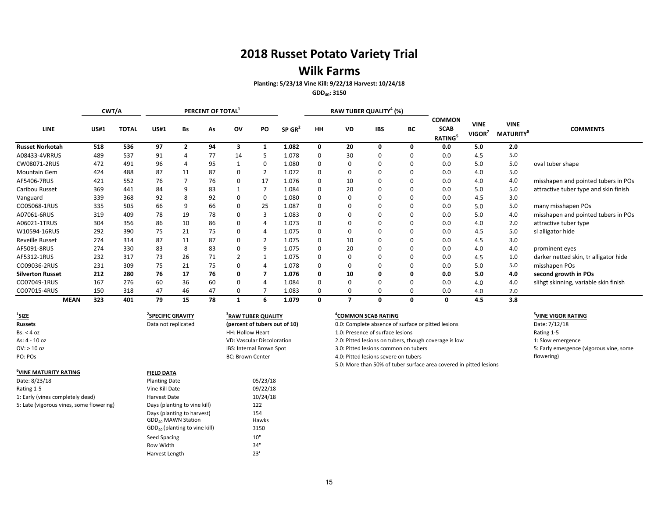## **Wilk Farms**

**Planting: 5/23/18 Vine Kill: 9/22/18 Harvest: 10/24/18**

**GDD40: 3150**

|                         |             | CWT/A        |             |                         | PERCENT OF TOTAL |          |           |                      |           |           | RAW TUBER QUALITY <sup>4</sup> (%) |    |                                                            |                       |                                             |                                       |
|-------------------------|-------------|--------------|-------------|-------------------------|------------------|----------|-----------|----------------------|-----------|-----------|------------------------------------|----|------------------------------------------------------------|-----------------------|---------------------------------------------|---------------------------------------|
| <b>LINE</b>             | <b>US#1</b> | <b>TOTAL</b> | <b>US#1</b> | Bs                      | As               | ov       | <b>PO</b> | $SP$ GR <sup>2</sup> | <b>HH</b> | <b>VD</b> | <b>IBS</b>                         | ВC | <b>COMMON</b><br><b>SCAB</b><br><b>RATING</b> <sup>5</sup> | <b>VINE</b><br>VIGOR' | <b>VINE</b><br><b>MATURITY</b> <sup>8</sup> | <b>COMMENTS</b>                       |
| <b>Russet Norkotah</b>  | 518         | 536          | 97          | $\overline{\mathbf{z}}$ | 94               | 3        |           | 1.082                | $\Omega$  | 20        | $\Omega$                           |    | 0.0                                                        | 5.0                   | 2.0                                         |                                       |
| A08433-4VRRUS           | 489         | 537          | 91          | 4                       | 77               | 14       |           | 1.078                | 0         | 30        |                                    |    | 0.0                                                        | 4.5                   | 5.0                                         |                                       |
| CW08071-2RUS            | 472         | 491          | 96          | 4                       | 95               |          | 0         | 1.080                |           | 0         |                                    |    | 0.0                                                        | 5.0                   | 5.0                                         | oval tuber shape                      |
| Mountain Gem            | 424         | 488          | 87          | 11                      | 87               | $\Omega$ |           | 1.072                | $\Omega$  | 0         |                                    |    | 0.0                                                        | 4.0                   | 5.0                                         |                                       |
| AF5406-7RUS             | 421         | 552          | 76          |                         | 76               | 0        | 17        | 1.076                | 0         | 10        |                                    |    | 0.0                                                        | 4.0                   | 4.0                                         | misshapen and pointed tubers in POs   |
| Caribou Russet          | 369         | 441          | 84          | 9                       | 83               |          |           | 1.084                |           | 20        |                                    |    | 0.0                                                        | 5.0                   | 5.0                                         | attractive tuber type and skin finish |
| Vanguard                | 339         | 368          | 92          | 8                       | 92               | 0        | 0         | 1.080                | 0         | 0         |                                    |    | 0.0                                                        | 4.5                   | 3.0                                         |                                       |
| CO05068-1RUS            | 335         | 505          | 66          | 9                       | 66               | 0        | 25        | 1.087                |           |           |                                    |    | 0.0                                                        | 5.0                   | 5.0                                         | many misshapen POs                    |
| A07061-6RUS             | 319         | 409          | 78          | 19                      | 78               | $\Omega$ |           | 1.083                | $\Omega$  |           |                                    |    | 0.0                                                        | 5.0                   | 4.0                                         | misshapen and pointed tubers in POs   |
| A06021-1TRUS            | 304         | 356          | 86          | 10                      | 86               | $\Omega$ |           | 1.073                |           | 0         |                                    |    | 0.0                                                        | 4.0                   | 2.0                                         | attractive tuber type                 |
| W10594-16RUS            | 292         | 390          | 75          | 21                      | 75               | 0        |           | 1.075                |           |           |                                    |    | 0.0                                                        | 4.5                   | 5.0                                         | sl alligator hide                     |
| <b>Reveille Russet</b>  | 274         | 314          | 87          | 11                      | 87               | 0        |           | 1.075                |           | 10        |                                    |    | 0.0                                                        | 4.5                   | 3.0                                         |                                       |
| AF5091-8RUS             | 274         | 330          | 83          | 8                       | 83               | $\Omega$ |           | 1.075                | 0         | 20        |                                    |    | 0.0                                                        | 4.0                   | 4.0                                         | prominent eyes                        |
| AF5312-1RUS             | 232         | 317          | 73          | 26                      | 71               |          |           | 1.075                | $\Omega$  | 0         |                                    |    | 0.0                                                        | 4.5                   | 1.0                                         | darker netted skin, tr alligator hide |
| CO09036-2RUS            | 231         | 309          | 75          | 21                      | 75               | 0        |           | 1.078                | $\Omega$  | 0         |                                    |    | 0.0                                                        | 5.0                   | 5.0                                         | misshapen POs                         |
| <b>Silverton Russet</b> | 212         | 280          | 76          | 17                      | 76               | 0        |           | 1.076                | 0         | 10        |                                    |    | 0.0                                                        | 5.0                   | 4.0                                         | second growth in POs                  |
| CO07049-1RUS            | 167         | 276          | 60          | 36                      | 60               | 0        |           | 1.084                | $\Omega$  | 0         |                                    |    | 0.0                                                        | 4.0                   | 4.0                                         | slihgt skinning, variable skin finish |
| CO07015-4RUS            | 150         | 318          | 47          | 46                      | 47               | 0        |           | 1.083                | 0         | 0         | 0                                  |    | 0.0                                                        | 4.0                   | 2.0                                         |                                       |
| <b>MEAN</b>             | 323         | 401          | 79          | 15                      | 78               |          |           | 1.079                | 0         | 7         | 0                                  | 0  | 0                                                          | 4.5                   | 3.8                                         |                                       |

| $^1$ SIZE                                | <b>SPECIFIC GRAVITY</b>         | RAW TUBER QUALITY                 | <b>"COMMON SCAB RATING</b>                                         | <sup>5</sup> VINE VIGOR RATII |
|------------------------------------------|---------------------------------|-----------------------------------|--------------------------------------------------------------------|-------------------------------|
| Russets                                  | Data not replicated             | (percent of tubers out of 10)     | 0.0: Complete absence of surface or pitted lesions                 | Date: 7/12/18                 |
| Bs: < 4 oz                               |                                 | HH: Hollow Heart                  | 1.0: Presence of surface lesions                                   | Rating 1-5                    |
| As: 4 - 10 oz                            |                                 | <b>VD: Vascular Discoloration</b> | 2.0: Pitted lesions on tubers, though coverage is low              | 1: Slow emergence             |
| $OV:$ > 10 oz                            |                                 | IBS: Internal Brown Spot          | 3.0: Pitted lesions common on tubers                               | 5: Early emergence            |
| PO: POS                                  |                                 | <b>BC: Brown Center</b>           | 4.0: Pitted lesions severe on tubers                               | flowering)                    |
|                                          |                                 |                                   | 5.0: More than 50% of tuber surface area covered in pitted lesions |                               |
| VINE MATURITY RATING                     | <b>FIELD DATA</b>               |                                   |                                                                    |                               |
| Date: 8/23/18                            | <b>Planting Date</b>            | 05/23/18                          |                                                                    |                               |
| Rating 1-5                               | Vine Kill Date                  | 09/22/18                          |                                                                    |                               |
| 1: Early (vines completely dead)         | Harvest Date                    | 10/24/18                          |                                                                    |                               |
| 5: Late (vigorous vines, some flowering) | Days (planting to vine kill)    | 122                               |                                                                    |                               |
|                                          | Days (planting to harvest)      | 154                               |                                                                    |                               |
|                                          | GDD <sub>40</sub> MAWN Station  | Hawks                             |                                                                    |                               |
|                                          | $GDD40$ (planting to vine kill) | 3150                              |                                                                    |                               |
|                                          | Seed Spacing                    | 10"                               |                                                                    |                               |
|                                          | Row Width                       | 34"                               |                                                                    |                               |
|                                          | Harvest Length                  | 23'                               |                                                                    |                               |

#### **COMMON SCAB RATING <sup>5</sup>**

#### **VINE VIGOR RATING**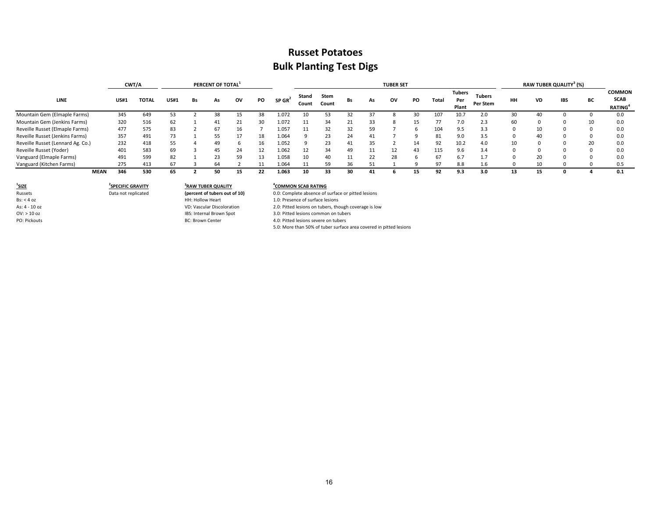## **Russet Potatoes Bulk Planting Test Digs**

|                                   |             | CWT/A        |             |    | PERCENT OF TOTAL <sup>1</sup> |    |    |                      |                |               |    |    | <b>TUBER SET</b> |    |       |                               |                           |    |           | RAW TUBER QUALITY <sup>3</sup> (%) |    |                                                           |
|-----------------------------------|-------------|--------------|-------------|----|-------------------------------|----|----|----------------------|----------------|---------------|----|----|------------------|----|-------|-------------------------------|---------------------------|----|-----------|------------------------------------|----|-----------------------------------------------------------|
| LINE                              | <b>US#1</b> | <b>TOTAL</b> | <b>US#1</b> | Bs | As                            | ov | PO | $SP$ GR <sup>2</sup> | Stand<br>Count | Stem<br>Count | Bs | As | ov               | PO | Total | <b>Tubers</b><br>Per<br>Plant | <b>Tubers</b><br>Per Stem | HH | <b>VD</b> | <b>IBS</b>                         | BС | <b>COMMON</b><br><b>SCAB</b><br><b>RATING<sup>4</sup></b> |
| Mountain Gem (Elmaple Farms)      | 345         | 649          | 53          |    | 38                            |    | 38 | 1.072                |                | 53            | 32 |    |                  | 30 | 107   | 10.7                          | 2.0                       | 30 | 40        |                                    |    | 0.0                                                       |
| Mountain Gem (Jenkins Farms)      | 320         | 516          | 62          |    |                               | 21 | 30 | 1.072                |                | 34            | 21 | 33 |                  | 15 |       | 7.0                           | 2.3                       | 60 | n         |                                    | 10 | 0.0                                                       |
| Reveille Russet (Elmaple Farms)   | 477         | 575          | 83          |    | 67                            | 16 |    | 1.057                | 11             | 32            | 32 | 59 |                  | h  | 104   | 9.5                           | 3.3                       |    | 10        |                                    |    | 0.0                                                       |
| Reveille Russet (Jenkins Farms)   | 357         | 491          | 73          |    | 55                            |    | 18 | 1.064                |                | 23            | 24 |    |                  |    | 81    | 9.0                           | 3.5                       |    | 40        |                                    |    | 0.0                                                       |
| Reveille Russet (Lennard Ag. Co.) | 232         | 418          | 55          |    | 49                            |    |    | 1.052                |                | 23            | 41 | 35 |                  | 14 | 92    | 10.2                          | 4.0                       | 10 |           |                                    | 20 | 0.0                                                       |
| Reveille Russet (Yoder)           | 401         | 583          | 69          |    | 45                            | 24 |    | 1.062                |                | 34            | 49 |    | 12               | 43 | 115   | 9.6                           | 3.4                       |    |           |                                    |    | 0.0                                                       |
| Vanguard (Elmaple Farms)          | 491         | 599          | 82          |    | 23                            | 59 | 13 | 1.058                | 10             | 40            | 11 | 22 | 28               |    | 67    | 6.7                           | 1.7                       |    | 20        |                                    |    | 0.0                                                       |
| Vanguard (Kitchen Farms)          | 275         | 413          | 67          |    | 64                            |    |    | 1.064                |                | 59            | 36 |    |                  |    | 97    | 8.8                           | 1.6                       |    | 10        |                                    |    | 0.5                                                       |
| <b>MEAN</b>                       | 346         | 530          | 65          |    | 50                            | 15 | 22 | 1.063                | 10             | 33            | 30 |    |                  | 15 | 92    | 9.3                           | 3.0                       | 13 | 15        |                                    |    | 0.1                                                       |

**1 SIZE <sup>2</sup>**

**SPECIFIC GRAVITY <sup>4</sup> 3 RAW TUBER QUALITY** HH: Hollow Heart 1.0: Presence of surface lesions<br>VD: Vascular Discoloration 2.0: Pitted lesions on tubers, the As: 4 - 10 oz VD: Vascular Discoloration 2.0: Pitted lesions on tubers, though coverage is low OV: > 10 oz 10 oz IBS: Internal Brown Spot 3.0: Pitted lesions common on tubers<br>
PO: Pickouts Common on tubers BC: Brown Center 1999 Common on tubers 4.0: Pitted lesions severe on tubers

#### **COMMON SCAB RATING**

Russets **Data not replicated (percent of tubers out of 10)** 0.0: Complete absence of surface or pitted lesions<br>
HH: Hollow Heart 1.0: Presence of surface lesions

4.0: Pitted lesions severe on tubers

5.0: More than 50% of tuber surface area covered in pitted lesions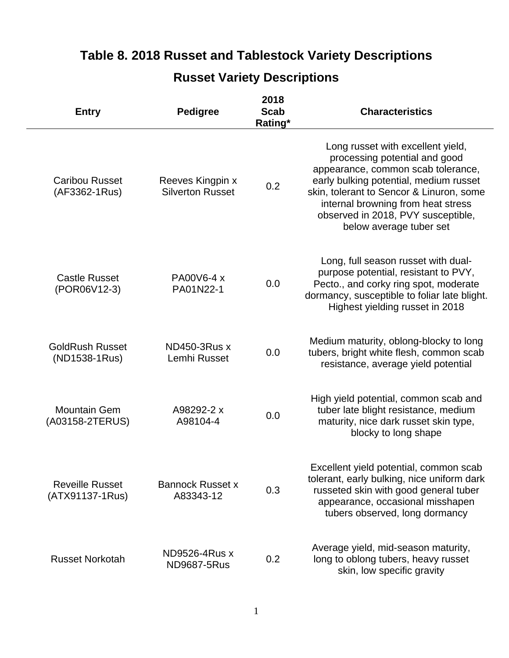## **Table 8. 2018 Russet and Tablestock Variety Descriptions**

# **Entry Pedigree 2018 Scab Rating\* Characteristics**

**Russet Variety Descriptions**

|                                           |                                             | Rating* |                                                                                                                                                                                                                                                                                                       |
|-------------------------------------------|---------------------------------------------|---------|-------------------------------------------------------------------------------------------------------------------------------------------------------------------------------------------------------------------------------------------------------------------------------------------------------|
| <b>Caribou Russet</b><br>(AF3362-1Rus)    | Reeves Kingpin x<br><b>Silverton Russet</b> | 0.2     | Long russet with excellent yield,<br>processing potential and good<br>appearance, common scab tolerance,<br>early bulking potential, medium russet<br>skin, tolerant to Sencor & Linuron, some<br>internal browning from heat stress<br>observed in 2018, PVY susceptible,<br>below average tuber set |
| <b>Castle Russet</b><br>(POR06V12-3)      | PA00V6-4 x<br>PA01N22-1                     | 0.0     | Long, full season russet with dual-<br>purpose potential, resistant to PVY,<br>Pecto., and corky ring spot, moderate<br>dormancy, susceptible to foliar late blight.<br>Highest yielding russet in 2018                                                                                               |
| <b>GoldRush Russet</b><br>(ND1538-1Rus)   | <b>ND450-3Rus x</b><br>Lemhi Russet         | 0.0     | Medium maturity, oblong-blocky to long<br>tubers, bright white flesh, common scab<br>resistance, average yield potential                                                                                                                                                                              |
| <b>Mountain Gem</b><br>(A03158-2TERUS)    | A98292-2 x<br>A98104-4                      | 0.0     | High yield potential, common scab and<br>tuber late blight resistance, medium<br>maturity, nice dark russet skin type,<br>blocky to long shape                                                                                                                                                        |
| <b>Reveille Russet</b><br>(ATX91137-1Rus) | <b>Bannock Russet x</b><br>A83343-12        | 0.3     | Excellent yield potential, common scab<br>tolerant, early bulking, nice uniform dark<br>russeted skin with good general tuber<br>appearance, occasional misshapen<br>tubers observed, long dormancy                                                                                                   |
| <b>Russet Norkotah</b>                    | ND9526-4Rus x<br><b>ND9687-5Rus</b>         | 0.2     | Average yield, mid-season maturity,<br>long to oblong tubers, heavy russet<br>skin, low specific gravity                                                                                                                                                                                              |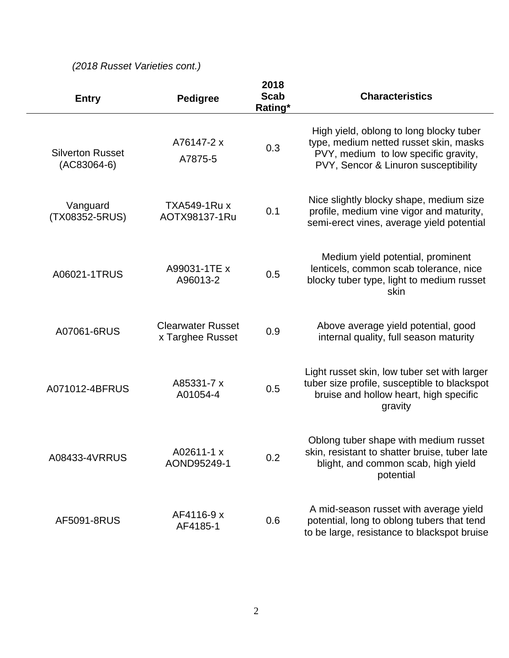## *(2018 Russet Varieties cont.)*

| <b>Entry</b>                             | <b>Pedigree</b>                              | 2018<br><b>Scab</b><br>Rating* | <b>Characteristics</b>                                                                                                                                            |
|------------------------------------------|----------------------------------------------|--------------------------------|-------------------------------------------------------------------------------------------------------------------------------------------------------------------|
| <b>Silverton Russet</b><br>$(AC83064-6)$ | A76147-2 x<br>A7875-5                        | 0.3                            | High yield, oblong to long blocky tuber<br>type, medium netted russet skin, masks<br>PVY, medium to low specific gravity,<br>PVY, Sencor & Linuron susceptibility |
| Vanguard<br>(TX08352-5RUS)               | TXA549-1Ru x<br>AOTX98137-1Ru                | 0.1                            | Nice slightly blocky shape, medium size<br>profile, medium vine vigor and maturity,<br>semi-erect vines, average yield potential                                  |
| A06021-1TRUS                             | A99031-1TE x<br>A96013-2                     | 0.5                            | Medium yield potential, prominent<br>lenticels, common scab tolerance, nice<br>blocky tuber type, light to medium russet<br>skin                                  |
| A07061-6RUS                              | <b>Clearwater Russet</b><br>x Targhee Russet | 0.9                            | Above average yield potential, good<br>internal quality, full season maturity                                                                                     |
| A071012-4BFRUS                           | A85331-7 x<br>A01054-4                       | 0.5                            | Light russet skin, low tuber set with larger<br>tuber size profile, susceptible to blackspot<br>bruise and hollow heart, high specific<br>gravity                 |
| A08433-4VRRUS                            | A02611-1 x<br>AOND95249-1                    | 0.2                            | Oblong tuber shape with medium russet<br>skin, resistant to shatter bruise, tuber late<br>blight, and common scab, high yield<br>potential                        |
| AF5091-8RUS                              | AF4116-9 x<br>AF4185-1                       | 0.6                            | A mid-season russet with average yield<br>potential, long to oblong tubers that tend<br>to be large, resistance to blackspot bruise                               |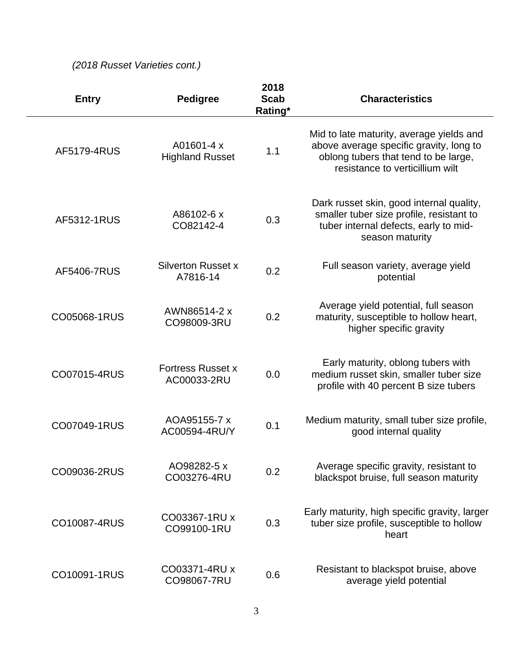## *(2018 Russet Varieties cont.)*

| <b>Entry</b> | <b>Pedigree</b>                         | 2018<br><b>Scab</b><br>Rating* | <b>Characteristics</b>                                                                                                                                         |
|--------------|-----------------------------------------|--------------------------------|----------------------------------------------------------------------------------------------------------------------------------------------------------------|
| AF5179-4RUS  | A01601-4 x<br><b>Highland Russet</b>    | 1.1                            | Mid to late maturity, average yields and<br>above average specific gravity, long to<br>oblong tubers that tend to be large,<br>resistance to verticillium wilt |
| AF5312-1RUS  | A86102-6 x<br>CO82142-4                 | 0.3                            | Dark russet skin, good internal quality,<br>smaller tuber size profile, resistant to<br>tuber internal defects, early to mid-<br>season maturity               |
| AF5406-7RUS  | <b>Silverton Russet x</b><br>A7816-14   | 0.2                            | Full season variety, average yield<br>potential                                                                                                                |
| CO05068-1RUS | AWN86514-2 x<br>CO98009-3RU             | 0.2                            | Average yield potential, full season<br>maturity, susceptible to hollow heart,<br>higher specific gravity                                                      |
| CO07015-4RUS | <b>Fortress Russet x</b><br>AC00033-2RU | 0.0                            | Early maturity, oblong tubers with<br>medium russet skin, smaller tuber size<br>profile with 40 percent B size tubers                                          |
| CO07049-1RUS | AOA95155-7 x<br>AC00594-4RU/Y           | 0.1                            | Medium maturity, small tuber size profile,<br>good internal quality                                                                                            |
| CO09036-2RUS | AO98282-5 x<br>CO03276-4RU              | 0.2                            | Average specific gravity, resistant to<br>blackspot bruise, full season maturity                                                                               |
| CO10087-4RUS | CO03367-1RU x<br>CO99100-1RU            | 0.3                            | Early maturity, high specific gravity, larger<br>tuber size profile, susceptible to hollow<br>heart                                                            |
| CO10091-1RUS | CO03371-4RU x<br>CO98067-7RU            | 0.6                            | Resistant to blackspot bruise, above<br>average yield potential                                                                                                |